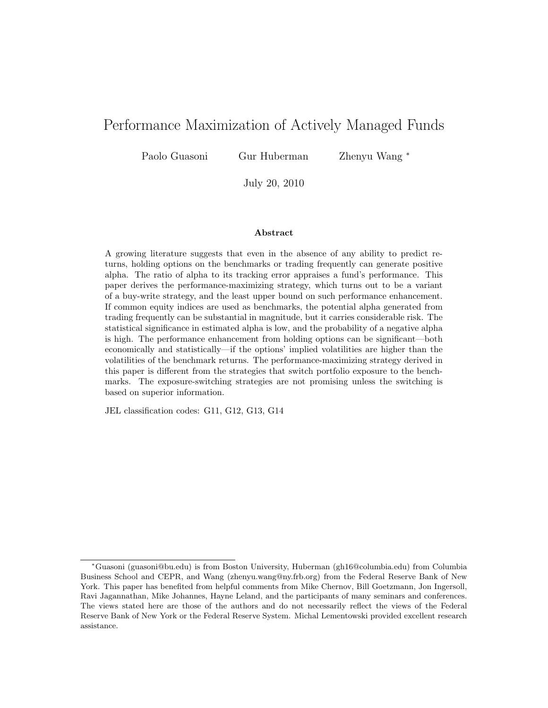# Performance Maximization of Actively Managed Funds

Paolo Guasoni Gur Huberman Zhenyu Wang <sup>∗</sup>

July 20, 2010

#### Abstract

A growing literature suggests that even in the absence of any ability to predict returns, holding options on the benchmarks or trading frequently can generate positive alpha. The ratio of alpha to its tracking error appraises a fund's performance. This paper derives the performance-maximizing strategy, which turns out to be a variant of a buy-write strategy, and the least upper bound on such performance enhancement. If common equity indices are used as benchmarks, the potential alpha generated from trading frequently can be substantial in magnitude, but it carries considerable risk. The statistical significance in estimated alpha is low, and the probability of a negative alpha is high. The performance enhancement from holding options can be significant—both economically and statistically—if the options' implied volatilities are higher than the volatilities of the benchmark returns. The performance-maximizing strategy derived in this paper is different from the strategies that switch portfolio exposure to the benchmarks. The exposure-switching strategies are not promising unless the switching is based on superior information.

JEL classification codes: G11, G12, G13, G14

<sup>∗</sup>Guasoni (guasoni@bu.edu) is from Boston University, Huberman (gh16@columbia.edu) from Columbia Business School and CEPR, and Wang (zhenyu.wang@ny.frb.org) from the Federal Reserve Bank of New York. This paper has benefited from helpful comments from Mike Chernov, Bill Goetzmann, Jon Ingersoll, Ravi Jagannathan, Mike Johannes, Hayne Leland, and the participants of many seminars and conferences. The views stated here are those of the authors and do not necessarily reflect the views of the Federal Reserve Bank of New York or the Federal Reserve System. Michal Lementowski provided excellent research assistance.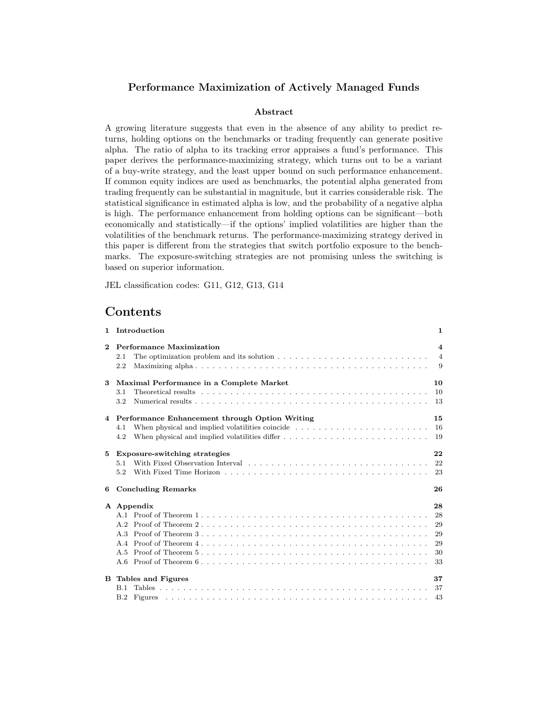### Performance Maximization of Actively Managed Funds

#### Abstract

A growing literature suggests that even in the absence of any ability to predict returns, holding options on the benchmarks or trading frequently can generate positive alpha. The ratio of alpha to its tracking error appraises a fund's performance. This paper derives the performance-maximizing strategy, which turns out to be a variant of a buy-write strategy, and the least upper bound on such performance enhancement. If common equity indices are used as benchmarks, the potential alpha generated from trading frequently can be substantial in magnitude, but it carries considerable risk. The statistical significance in estimated alpha is low, and the probability of a negative alpha is high. The performance enhancement from holding options can be significant—both economically and statistically—if the options' implied volatilities are higher than the volatilities of the benchmark returns. The performance-maximizing strategy derived in this paper is different from the strategies that switch portfolio exposure to the benchmarks. The exposure-switching strategies are not promising unless the switching is based on superior information.

JEL classification codes: G11, G12, G13, G14

## Contents

| 1.           | Introduction                                                                                                                                                 | $\mathbf{1}$   |
|--------------|--------------------------------------------------------------------------------------------------------------------------------------------------------------|----------------|
| $\mathbf{2}$ | <b>Performance Maximization</b>                                                                                                                              | $\overline{4}$ |
|              | The optimization problem and its solution $\ldots \ldots \ldots \ldots \ldots \ldots \ldots \ldots \ldots$<br>2.1                                            | $\overline{4}$ |
|              | 2.2                                                                                                                                                          | 9              |
| 3            | Maximal Performance in a Complete Market                                                                                                                     | 10             |
|              | Theoretical results $\ldots$ , $\ldots$ , $\ldots$ , $\ldots$ , $\ldots$ , $\ldots$ , $\ldots$ , $\ldots$ , $\ldots$ , $\ldots$ , $\ldots$ , $\ldots$<br>3.1 | 10             |
|              | 3.2                                                                                                                                                          | 13             |
| 4            | Performance Enhancement through Option Writing                                                                                                               | 15             |
|              | When physical and implied volatilities coincide $\ldots$ , , , , ,<br>4.1                                                                                    | 16             |
|              | When physical and implied volatilities differ $\dots \dots \dots \dots \dots \dots \dots \dots \dots$<br>4.2                                                 | 19             |
| 5            | Exposure-switching strategies                                                                                                                                | 22             |
|              | With Fixed Observation Interval<br>5.1                                                                                                                       | 22             |
|              | 5.2                                                                                                                                                          | 23             |
| 6            | <b>Concluding Remarks</b>                                                                                                                                    | 26             |
|              | A Appendix                                                                                                                                                   | 28             |
|              |                                                                                                                                                              | 28             |
|              |                                                                                                                                                              | 29             |
|              |                                                                                                                                                              | 29             |
|              |                                                                                                                                                              | 29             |
|              | A.5                                                                                                                                                          | 30             |
|              |                                                                                                                                                              | 33             |
|              | <b>B</b> Tables and Figures                                                                                                                                  | 37             |
|              | B.1                                                                                                                                                          | 37             |
|              | B.2                                                                                                                                                          | 43             |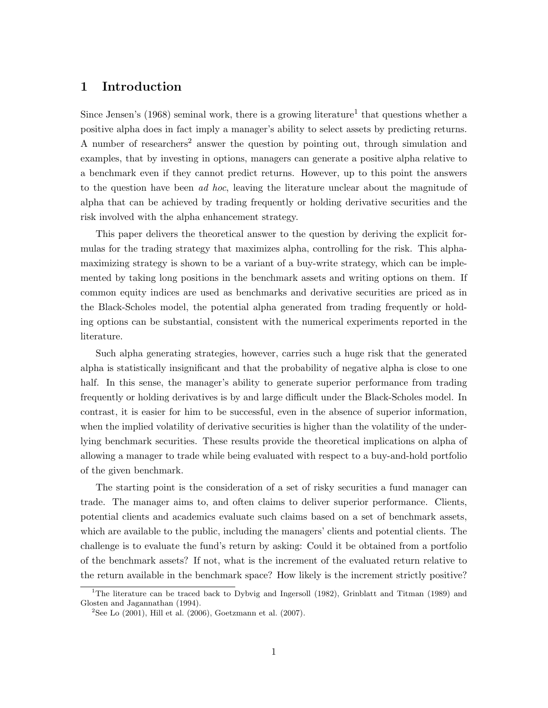## 1 Introduction

Since Jensen's  $(1968)$  seminal work, there is a growing literature<sup>1</sup> that questions whether a positive alpha does in fact imply a manager's ability to select assets by predicting returns. A number of researchers<sup>2</sup> answer the question by pointing out, through simulation and examples, that by investing in options, managers can generate a positive alpha relative to a benchmark even if they cannot predict returns. However, up to this point the answers to the question have been ad hoc, leaving the literature unclear about the magnitude of alpha that can be achieved by trading frequently or holding derivative securities and the risk involved with the alpha enhancement strategy.

This paper delivers the theoretical answer to the question by deriving the explicit formulas for the trading strategy that maximizes alpha, controlling for the risk. This alphamaximizing strategy is shown to be a variant of a buy-write strategy, which can be implemented by taking long positions in the benchmark assets and writing options on them. If common equity indices are used as benchmarks and derivative securities are priced as in the Black-Scholes model, the potential alpha generated from trading frequently or holding options can be substantial, consistent with the numerical experiments reported in the literature.

Such alpha generating strategies, however, carries such a huge risk that the generated alpha is statistically insignificant and that the probability of negative alpha is close to one half. In this sense, the manager's ability to generate superior performance from trading frequently or holding derivatives is by and large difficult under the Black-Scholes model. In contrast, it is easier for him to be successful, even in the absence of superior information, when the implied volatility of derivative securities is higher than the volatility of the underlying benchmark securities. These results provide the theoretical implications on alpha of allowing a manager to trade while being evaluated with respect to a buy-and-hold portfolio of the given benchmark.

The starting point is the consideration of a set of risky securities a fund manager can trade. The manager aims to, and often claims to deliver superior performance. Clients, potential clients and academics evaluate such claims based on a set of benchmark assets, which are available to the public, including the managers' clients and potential clients. The challenge is to evaluate the fund's return by asking: Could it be obtained from a portfolio of the benchmark assets? If not, what is the increment of the evaluated return relative to the return available in the benchmark space? How likely is the increment strictly positive?

<sup>&</sup>lt;sup>1</sup>The literature can be traced back to Dybvig and Ingersoll (1982), Grinblatt and Titman (1989) and Glosten and Jagannathan (1994).

<sup>&</sup>lt;sup>2</sup>See Lo (2001), Hill et al. (2006), Goetzmann et al. (2007).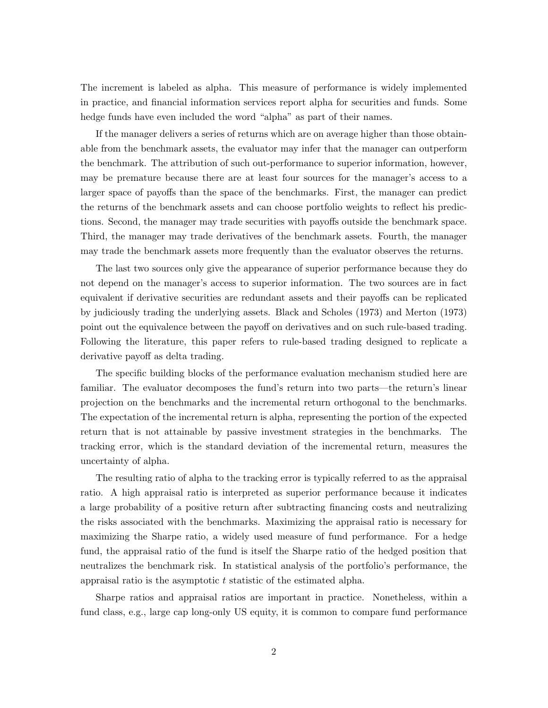The increment is labeled as alpha. This measure of performance is widely implemented in practice, and financial information services report alpha for securities and funds. Some hedge funds have even included the word "alpha" as part of their names.

If the manager delivers a series of returns which are on average higher than those obtainable from the benchmark assets, the evaluator may infer that the manager can outperform the benchmark. The attribution of such out-performance to superior information, however, may be premature because there are at least four sources for the manager's access to a larger space of payoffs than the space of the benchmarks. First, the manager can predict the returns of the benchmark assets and can choose portfolio weights to reflect his predictions. Second, the manager may trade securities with payoffs outside the benchmark space. Third, the manager may trade derivatives of the benchmark assets. Fourth, the manager may trade the benchmark assets more frequently than the evaluator observes the returns.

The last two sources only give the appearance of superior performance because they do not depend on the manager's access to superior information. The two sources are in fact equivalent if derivative securities are redundant assets and their payoffs can be replicated by judiciously trading the underlying assets. Black and Scholes (1973) and Merton (1973) point out the equivalence between the payoff on derivatives and on such rule-based trading. Following the literature, this paper refers to rule-based trading designed to replicate a derivative payoff as delta trading.

The specific building blocks of the performance evaluation mechanism studied here are familiar. The evaluator decomposes the fund's return into two parts—the return's linear projection on the benchmarks and the incremental return orthogonal to the benchmarks. The expectation of the incremental return is alpha, representing the portion of the expected return that is not attainable by passive investment strategies in the benchmarks. The tracking error, which is the standard deviation of the incremental return, measures the uncertainty of alpha.

The resulting ratio of alpha to the tracking error is typically referred to as the appraisal ratio. A high appraisal ratio is interpreted as superior performance because it indicates a large probability of a positive return after subtracting financing costs and neutralizing the risks associated with the benchmarks. Maximizing the appraisal ratio is necessary for maximizing the Sharpe ratio, a widely used measure of fund performance. For a hedge fund, the appraisal ratio of the fund is itself the Sharpe ratio of the hedged position that neutralizes the benchmark risk. In statistical analysis of the portfolio's performance, the appraisal ratio is the asymptotic  $t$  statistic of the estimated alpha.

Sharpe ratios and appraisal ratios are important in practice. Nonetheless, within a fund class, e.g., large cap long-only US equity, it is common to compare fund performance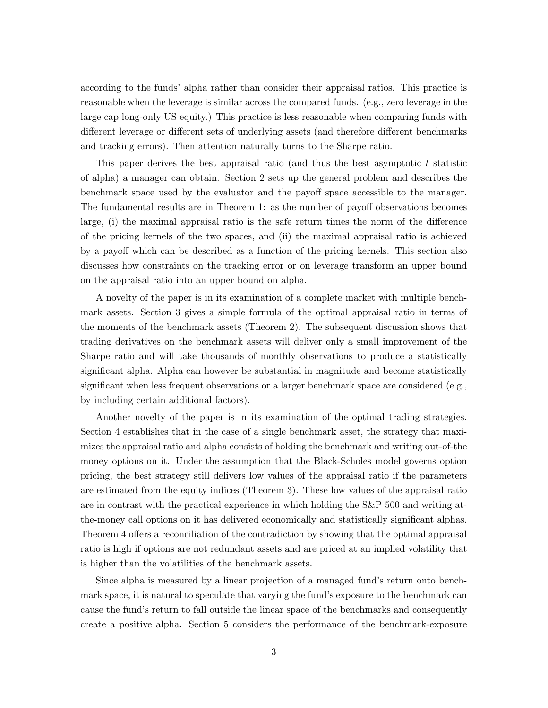according to the funds' alpha rather than consider their appraisal ratios. This practice is reasonable when the leverage is similar across the compared funds. (e.g., zero leverage in the large cap long-only US equity.) This practice is less reasonable when comparing funds with different leverage or different sets of underlying assets (and therefore different benchmarks and tracking errors). Then attention naturally turns to the Sharpe ratio.

This paper derives the best appraisal ratio (and thus the best asymptotic  $t$  statistic of alpha) a manager can obtain. Section 2 sets up the general problem and describes the benchmark space used by the evaluator and the payoff space accessible to the manager. The fundamental results are in Theorem 1: as the number of payoff observations becomes large, (i) the maximal appraisal ratio is the safe return times the norm of the difference of the pricing kernels of the two spaces, and (ii) the maximal appraisal ratio is achieved by a payoff which can be described as a function of the pricing kernels. This section also discusses how constraints on the tracking error or on leverage transform an upper bound on the appraisal ratio into an upper bound on alpha.

A novelty of the paper is in its examination of a complete market with multiple benchmark assets. Section 3 gives a simple formula of the optimal appraisal ratio in terms of the moments of the benchmark assets (Theorem 2). The subsequent discussion shows that trading derivatives on the benchmark assets will deliver only a small improvement of the Sharpe ratio and will take thousands of monthly observations to produce a statistically significant alpha. Alpha can however be substantial in magnitude and become statistically significant when less frequent observations or a larger benchmark space are considered (e.g., by including certain additional factors).

Another novelty of the paper is in its examination of the optimal trading strategies. Section 4 establishes that in the case of a single benchmark asset, the strategy that maximizes the appraisal ratio and alpha consists of holding the benchmark and writing out-of-the money options on it. Under the assumption that the Black-Scholes model governs option pricing, the best strategy still delivers low values of the appraisal ratio if the parameters are estimated from the equity indices (Theorem 3). These low values of the appraisal ratio are in contrast with the practical experience in which holding the S&P 500 and writing atthe-money call options on it has delivered economically and statistically significant alphas. Theorem 4 offers a reconciliation of the contradiction by showing that the optimal appraisal ratio is high if options are not redundant assets and are priced at an implied volatility that is higher than the volatilities of the benchmark assets.

Since alpha is measured by a linear projection of a managed fund's return onto benchmark space, it is natural to speculate that varying the fund's exposure to the benchmark can cause the fund's return to fall outside the linear space of the benchmarks and consequently create a positive alpha. Section 5 considers the performance of the benchmark-exposure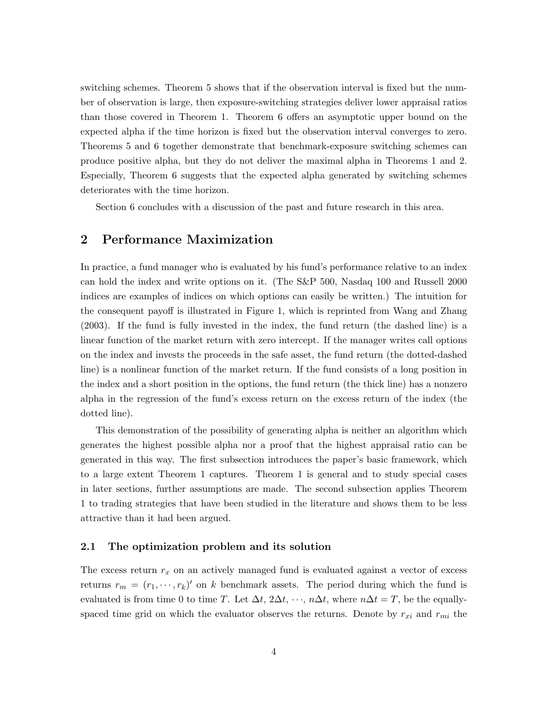switching schemes. Theorem 5 shows that if the observation interval is fixed but the number of observation is large, then exposure-switching strategies deliver lower appraisal ratios than those covered in Theorem 1. Theorem 6 offers an asymptotic upper bound on the expected alpha if the time horizon is fixed but the observation interval converges to zero. Theorems 5 and 6 together demonstrate that benchmark-exposure switching schemes can produce positive alpha, but they do not deliver the maximal alpha in Theorems 1 and 2. Especially, Theorem 6 suggests that the expected alpha generated by switching schemes deteriorates with the time horizon.

Section 6 concludes with a discussion of the past and future research in this area.

## 2 Performance Maximization

In practice, a fund manager who is evaluated by his fund's performance relative to an index can hold the index and write options on it. (The S&P 500, Nasdaq 100 and Russell 2000 indices are examples of indices on which options can easily be written.) The intuition for the consequent payoff is illustrated in Figure 1, which is reprinted from Wang and Zhang (2003). If the fund is fully invested in the index, the fund return (the dashed line) is a linear function of the market return with zero intercept. If the manager writes call options on the index and invests the proceeds in the safe asset, the fund return (the dotted-dashed line) is a nonlinear function of the market return. If the fund consists of a long position in the index and a short position in the options, the fund return (the thick line) has a nonzero alpha in the regression of the fund's excess return on the excess return of the index (the dotted line).

This demonstration of the possibility of generating alpha is neither an algorithm which generates the highest possible alpha nor a proof that the highest appraisal ratio can be generated in this way. The first subsection introduces the paper's basic framework, which to a large extent Theorem 1 captures. Theorem 1 is general and to study special cases in later sections, further assumptions are made. The second subsection applies Theorem 1 to trading strategies that have been studied in the literature and shows them to be less attractive than it had been argued.

### 2.1 The optimization problem and its solution

The excess return  $r_x$  on an actively managed fund is evaluated against a vector of excess returns  $r_m = (r_1, \dots, r_k)'$  on k benchmark assets. The period during which the fund is evaluated is from time 0 to time T. Let  $\Delta t$ ,  $2\Delta t$ ,  $\cdots$ ,  $n\Delta t$ , where  $n\Delta t = T$ , be the equallyspaced time grid on which the evaluator observes the returns. Denote by  $r_{xi}$  and  $r_{mi}$  the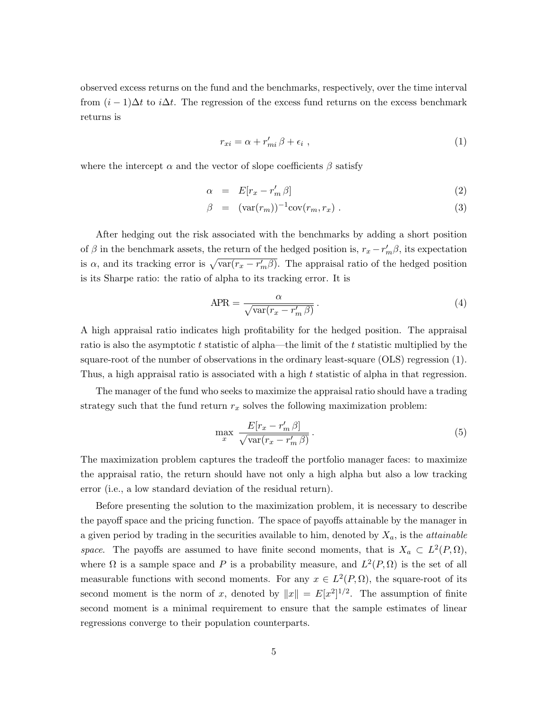observed excess returns on the fund and the benchmarks, respectively, over the time interval from  $(i-1)\Delta t$  to  $i\Delta t$ . The regression of the excess fund returns on the excess benchmark returns is

$$
r_{xi} = \alpha + r'_{mi}\beta + \epsilon_i \t\t(1)
$$

where the intercept  $\alpha$  and the vector of slope coefficients  $\beta$  satisfy

$$
\alpha = E[r_x - r'_m \beta] \tag{2}
$$

$$
\beta = (\text{var}(r_m))^{-1} \text{cov}(r_m, r_x) . \tag{3}
$$

After hedging out the risk associated with the benchmarks by adding a short position of  $\beta$  in the benchmark assets, the return of the hedged position is,  $r_x - r'_m \beta$ , its expectation is  $\alpha$ , and its tracking error is  $\sqrt{\text{var}(r_x - r'_m \beta)}$ . The appraisal ratio of the hedged position is its Sharpe ratio: the ratio of alpha to its tracking error. It is

$$
APR = \frac{\alpha}{\sqrt{\text{var}(r_x - r'_m \beta)}}.
$$
\n(4)

A high appraisal ratio indicates high profitability for the hedged position. The appraisal ratio is also the asymptotic t statistic of alpha—the limit of the t statistic multiplied by the square-root of the number of observations in the ordinary least-square (OLS) regression (1). Thus, a high appraisal ratio is associated with a high t statistic of alpha in that regression.

The manager of the fund who seeks to maximize the appraisal ratio should have a trading strategy such that the fund return  $r_x$  solves the following maximization problem:

$$
\max_{x} \frac{E[r_x - r'_m \beta]}{\sqrt{\text{var}(r_x - r'_m \beta)}}.
$$
\n(5)

The maximization problem captures the tradeoff the portfolio manager faces: to maximize the appraisal ratio, the return should have not only a high alpha but also a low tracking error (i.e., a low standard deviation of the residual return).

Before presenting the solution to the maximization problem, it is necessary to describe the payoff space and the pricing function. The space of payoffs attainable by the manager in a given period by trading in the securities available to him, denoted by  $X_a$ , is the *attainable* space. The payoffs are assumed to have finite second moments, that is  $X_a \subset L^2(P,\Omega)$ , where  $\Omega$  is a sample space and P is a probability measure, and  $L^2(P,\Omega)$  is the set of all measurable functions with second moments. For any  $x \in L^2(P, \Omega)$ , the square-root of its second moment is the norm of x, denoted by  $||x|| = E[x^2]^{1/2}$ . The assumption of finite second moment is a minimal requirement to ensure that the sample estimates of linear regressions converge to their population counterparts.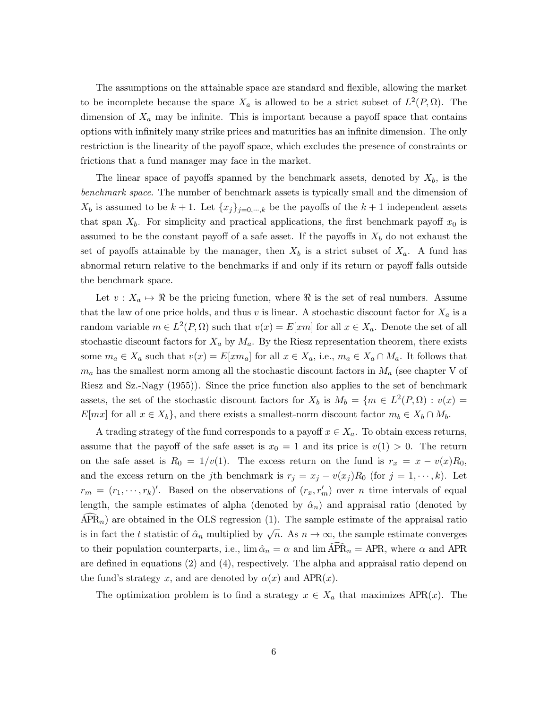The assumptions on the attainable space are standard and flexible, allowing the market to be incomplete because the space  $X_a$  is allowed to be a strict subset of  $L^2(P,\Omega)$ . The dimension of  $X_a$  may be infinite. This is important because a payoff space that contains options with infinitely many strike prices and maturities has an infinite dimension. The only restriction is the linearity of the payoff space, which excludes the presence of constraints or frictions that a fund manager may face in the market.

The linear space of payoffs spanned by the benchmark assets, denoted by  $X_b$ , is the benchmark space. The number of benchmark assets is typically small and the dimension of  $X_b$  is assumed to be  $k+1$ . Let  $\{x_j\}_{j=0,\dots,k}$  be the payoffs of the  $k+1$  independent assets that span  $X_b$ . For simplicity and practical applications, the first benchmark payoff  $x_0$  is assumed to be the constant payoff of a safe asset. If the payoffs in  $X_b$  do not exhaust the set of payoffs attainable by the manager, then  $X_b$  is a strict subset of  $X_a$ . A fund has abnormal return relative to the benchmarks if and only if its return or payoff falls outside the benchmark space.

Let  $v : X_a \mapsto \Re$  be the pricing function, where  $\Re$  is the set of real numbers. Assume that the law of one price holds, and thus v is linear. A stochastic discount factor for  $X_a$  is a random variable  $m \in L^2(P, \Omega)$  such that  $v(x) = E[xm]$  for all  $x \in X_a$ . Denote the set of all stochastic discount factors for  $X_a$  by  $M_a$ . By the Riesz representation theorem, there exists some  $m_a \in X_a$  such that  $v(x) = E[xm_a]$  for all  $x \in X_a$ , i.e.,  $m_a \in X_a \cap M_a$ . It follows that  $m_a$  has the smallest norm among all the stochastic discount factors in  $M_a$  (see chapter V of Riesz and Sz.-Nagy (1955)). Since the price function also applies to the set of benchmark assets, the set of the stochastic discount factors for  $X_b$  is  $M_b = \{m \in L^2(P, \Omega) : v(x) =$  $E[mx]$  for all  $x \in X_b$ , and there exists a smallest-norm discount factor  $m_b \in X_b \cap M_b$ .

A trading strategy of the fund corresponds to a payoff  $x \in X_a$ . To obtain excess returns, assume that the payoff of the safe asset is  $x_0 = 1$  and its price is  $v(1) > 0$ . The return on the safe asset is  $R_0 = 1/v(1)$ . The excess return on the fund is  $r_x = x - v(x)R_0$ , and the excess return on the jth benchmark is  $r_j = x_j - v(x_j)R_0$  (for  $j = 1, \dots, k$ ). Let  $r_m = (r_1, \dots, r_k)'$ . Based on the observations of  $(r_x, r'_m)$  over n time intervals of equal length, the sample estimates of alpha (denoted by  $\hat{\alpha}_n$ ) and appraisal ratio (denoted by  $APR_n$ ) are obtained in the OLS regression (1). The sample estimate of the appraisal ratio is in fact the t statistic of  $\hat{\alpha}_n$  multiplied by  $\sqrt{n}$ . As  $n \to \infty$ , the sample estimate converges to their population counterparts, i.e.,  $\lim \hat{\alpha}_n = \alpha$  and  $\lim \widehat{APR}_n = APR$ , where  $\alpha$  and  $APR$ are defined in equations (2) and (4), respectively. The alpha and appraisal ratio depend on the fund's strategy x, and are denoted by  $\alpha(x)$  and APR $(x)$ .

The optimization problem is to find a strategy  $x \in X_a$  that maximizes APR(x). The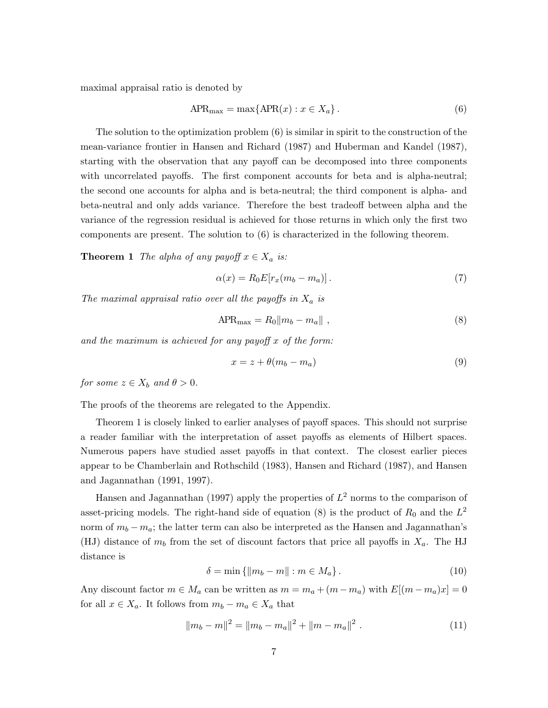maximal appraisal ratio is denoted by

$$
APR_{\text{max}} = \max\{APR(x) : x \in X_a\}.
$$
\n(6)

The solution to the optimization problem (6) is similar in spirit to the construction of the mean-variance frontier in Hansen and Richard (1987) and Huberman and Kandel (1987), starting with the observation that any payoff can be decomposed into three components with uncorrelated payoffs. The first component accounts for beta and is alpha-neutral; the second one accounts for alpha and is beta-neutral; the third component is alpha- and beta-neutral and only adds variance. Therefore the best tradeoff between alpha and the variance of the regression residual is achieved for those returns in which only the first two components are present. The solution to (6) is characterized in the following theorem.

**Theorem 1** The alpha of any payoff  $x \in X_a$  is:

$$
\alpha(x) = R_0 E[r_x(m_b - m_a)]. \tag{7}
$$

The maximal appraisal ratio over all the payoffs in  $X_a$  is

$$
APR_{\text{max}} = R_0 \|m_b - m_a\| \tag{8}
$$

and the maximum is achieved for any payoff  $x$  of the form:

$$
x = z + \theta(m_b - m_a) \tag{9}
$$

for some  $z \in X_b$  and  $\theta > 0$ .

The proofs of the theorems are relegated to the Appendix.

Theorem 1 is closely linked to earlier analyses of payoff spaces. This should not surprise a reader familiar with the interpretation of asset payoffs as elements of Hilbert spaces. Numerous papers have studied asset payoffs in that context. The closest earlier pieces appear to be Chamberlain and Rothschild (1983), Hansen and Richard (1987), and Hansen and Jagannathan (1991, 1997).

Hansen and Jagannathan (1997) apply the properties of  $L^2$  norms to the comparison of asset-pricing models. The right-hand side of equation (8) is the product of  $R_0$  and the  $L^2$ norm of  $m_b - m_a$ ; the latter term can also be interpreted as the Hansen and Jagannathan's (HJ) distance of  $m_b$  from the set of discount factors that price all payoffs in  $X_a$ . The HJ distance is

$$
\delta = \min \{ \| m_b - m \| : m \in M_a \}.
$$
\n(10)

Any discount factor  $m \in M_a$  can be written as  $m = m_a + (m - m_a)$  with  $E[(m - m_a)x] = 0$ for all  $x \in X_a$ . It follows from  $m_b - m_a \in X_a$  that

$$
||m_b - m||^2 = ||m_b - m_a||^2 + ||m - m_a||^2.
$$
 (11)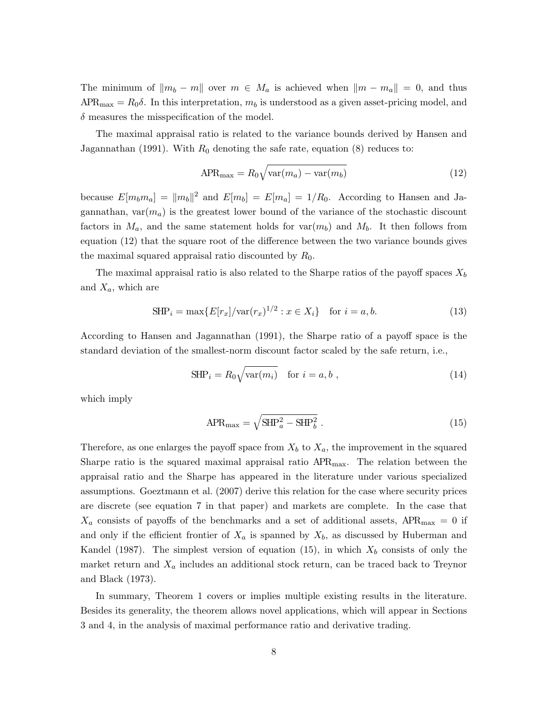The minimum of  $\|m_b - m\|$  over  $m \in M_a$  is achieved when  $\|m - m_a\| = 0$ , and thus  $APR<sub>max</sub> = R<sub>0</sub> \delta$ . In this interpretation,  $m<sub>b</sub>$  is understood as a given asset-pricing model, and  $\delta$  measures the misspecification of the model.

The maximal appraisal ratio is related to the variance bounds derived by Hansen and Jagannathan (1991). With  $R_0$  denoting the safe rate, equation (8) reduces to:

$$
APR_{\max} = R_0 \sqrt{\text{var}(m_a) - \text{var}(m_b)}\tag{12}
$$

because  $E[m_b m_a] = ||m_b||^2$  and  $E[m_b] = E[m_a] = 1/R_0$ . According to Hansen and Jagannathan, var $(m_a)$  is the greatest lower bound of the variance of the stochastic discount factors in  $M_a$ , and the same statement holds for  $var(m_b)$  and  $M_b$ . It then follows from equation (12) that the square root of the difference between the two variance bounds gives the maximal squared appraisal ratio discounted by  $R_0$ .

The maximal appraisal ratio is also related to the Sharpe ratios of the payoff spaces  $X_b$ and  $X_a$ , which are

$$
SHP_i = \max\{E[r_x]/\text{var}(r_x)^{1/2} : x \in X_i\} \text{ for } i = a, b. \tag{13}
$$

According to Hansen and Jagannathan (1991), the Sharpe ratio of a payoff space is the standard deviation of the smallest-norm discount factor scaled by the safe return, i.e.,

$$
SHP_i = R_0 \sqrt{\text{var}(m_i)} \quad \text{for } i = a, b \tag{14}
$$

which imply

$$
APR_{\text{max}} = \sqrt{\text{SHP}_a^2 - \text{SHP}_b^2} \tag{15}
$$

Therefore, as one enlarges the payoff space from  $X_b$  to  $X_a$ , the improvement in the squared Sharpe ratio is the squared maximal appraisal ratio  $APR_{\text{max}}$ . The relation between the appraisal ratio and the Sharpe has appeared in the literature under various specialized assumptions. Goeztmann et al. (2007) derive this relation for the case where security prices are discrete (see equation 7 in that paper) and markets are complete. In the case that  $X_a$  consists of payoffs of the benchmarks and a set of additional assets,  $APR_{\text{max}} = 0$  if and only if the efficient frontier of  $X_a$  is spanned by  $X_b$ , as discussed by Huberman and Kandel (1987). The simplest version of equation (15), in which  $X_b$  consists of only the market return and  $X_a$  includes an additional stock return, can be traced back to Treynor and Black (1973).

In summary, Theorem 1 covers or implies multiple existing results in the literature. Besides its generality, the theorem allows novel applications, which will appear in Sections 3 and 4, in the analysis of maximal performance ratio and derivative trading.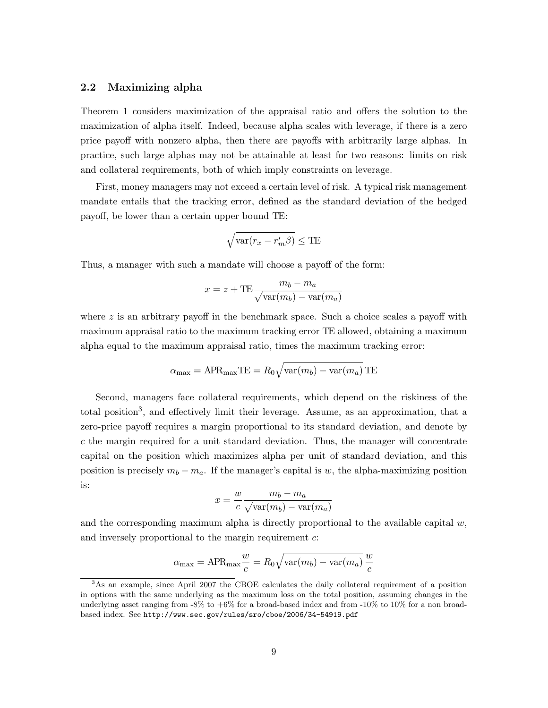#### 2.2 Maximizing alpha

Theorem 1 considers maximization of the appraisal ratio and offers the solution to the maximization of alpha itself. Indeed, because alpha scales with leverage, if there is a zero price payoff with nonzero alpha, then there are payoffs with arbitrarily large alphas. In practice, such large alphas may not be attainable at least for two reasons: limits on risk and collateral requirements, both of which imply constraints on leverage.

First, money managers may not exceed a certain level of risk. A typical risk management mandate entails that the tracking error, defined as the standard deviation of the hedged payoff, be lower than a certain upper bound TE:

$$
\sqrt{\text{var}(r_x - r_m'\beta)} \leq \text{TE}
$$

Thus, a manager with such a mandate will choose a payoff of the form:

$$
x = z + \text{TE} \frac{m_b - m_a}{\sqrt{\text{var}(m_b) - \text{var}(m_a)}}
$$

where  $z$  is an arbitrary payoff in the benchmark space. Such a choice scales a payoff with maximum appraisal ratio to the maximum tracking error TE allowed, obtaining a maximum alpha equal to the maximum appraisal ratio, times the maximum tracking error:

$$
\alpha_{\text{max}} = \text{APR}_{\text{max}} \text{TE} = R_0 \sqrt{\text{var}(m_b) - \text{var}(m_a)} \text{TE}
$$

Second, managers face collateral requirements, which depend on the riskiness of the total position<sup>3</sup>, and effectively limit their leverage. Assume, as an approximation, that a zero-price payoff requires a margin proportional to its standard deviation, and denote by c the margin required for a unit standard deviation. Thus, the manager will concentrate capital on the position which maximizes alpha per unit of standard deviation, and this position is precisely  $m_b - m_a$ . If the manager's capital is w, the alpha-maximizing position is:

$$
x = \frac{w}{c} \frac{m_b - m_a}{\sqrt{\text{var}(m_b) - \text{var}(m_a)}}
$$

and the corresponding maximum alpha is directly proportional to the available capital  $w$ , and inversely proportional to the margin requirement c:

$$
\alpha_{\text{max}} = \text{APR}_{\text{max}} \frac{w}{c} = R_0 \sqrt{\text{var}(m_b) - \text{var}(m_a)} \frac{w}{c}
$$

<sup>&</sup>lt;sup>3</sup>As an example, since April 2007 the CBOE calculates the daily collateral requirement of a position in options with the same underlying as the maximum loss on the total position, assuming changes in the underlying asset ranging from  $-8\%$  to  $+6\%$  for a broad-based index and from  $-10\%$  to  $10\%$  for a non broadbased index. See http://www.sec.gov/rules/sro/cboe/2006/34-54919.pdf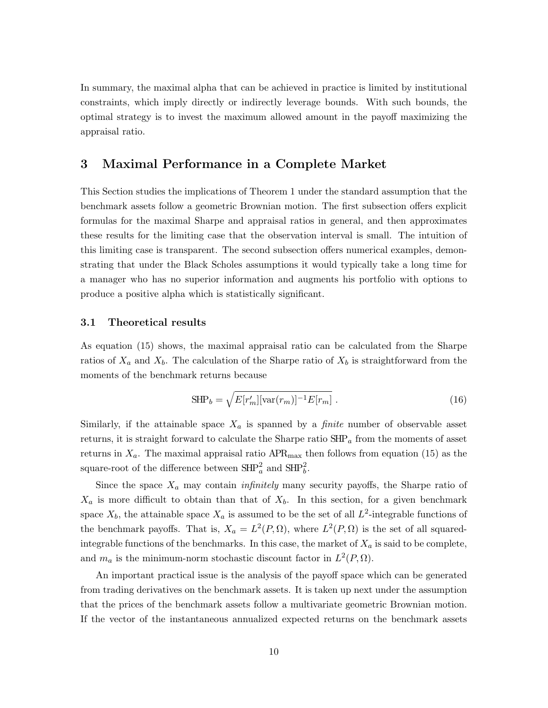In summary, the maximal alpha that can be achieved in practice is limited by institutional constraints, which imply directly or indirectly leverage bounds. With such bounds, the optimal strategy is to invest the maximum allowed amount in the payoff maximizing the appraisal ratio.

## 3 Maximal Performance in a Complete Market

This Section studies the implications of Theorem 1 under the standard assumption that the benchmark assets follow a geometric Brownian motion. The first subsection offers explicit formulas for the maximal Sharpe and appraisal ratios in general, and then approximates these results for the limiting case that the observation interval is small. The intuition of this limiting case is transparent. The second subsection offers numerical examples, demonstrating that under the Black Scholes assumptions it would typically take a long time for a manager who has no superior information and augments his portfolio with options to produce a positive alpha which is statistically significant.

#### 3.1 Theoretical results

As equation (15) shows, the maximal appraisal ratio can be calculated from the Sharpe ratios of  $X_a$  and  $X_b$ . The calculation of the Sharpe ratio of  $X_b$  is straightforward from the moments of the benchmark returns because

$$
\text{SHP}_b = \sqrt{E[r'_m][\text{var}(r_m)]^{-1}E[r_m]} \ . \tag{16}
$$

Similarly, if the attainable space  $X_a$  is spanned by a *finite* number of observable asset returns, it is straight forward to calculate the Sharpe ratio  $\text{SHP}_a$  from the moments of asset returns in  $X_a$ . The maximal appraisal ratio  $APR_{\text{max}}$  then follows from equation (15) as the square-root of the difference between  $\text{SHP}_a^2$  and  $\text{SHP}_b^2$ .

Since the space  $X_a$  may contain *infinitely* many security payoffs, the Sharpe ratio of  $X_a$  is more difficult to obtain than that of  $X_b$ . In this section, for a given benchmark space  $X_b$ , the attainable space  $X_a$  is assumed to be the set of all  $L^2$ -integrable functions of the benchmark payoffs. That is,  $X_a = L^2(P, \Omega)$ , where  $L^2(P, \Omega)$  is the set of all squaredintegrable functions of the benchmarks. In this case, the market of  $X_a$  is said to be complete, and  $m_a$  is the minimum-norm stochastic discount factor in  $L^2(P, \Omega)$ .

An important practical issue is the analysis of the payoff space which can be generated from trading derivatives on the benchmark assets. It is taken up next under the assumption that the prices of the benchmark assets follow a multivariate geometric Brownian motion. If the vector of the instantaneous annualized expected returns on the benchmark assets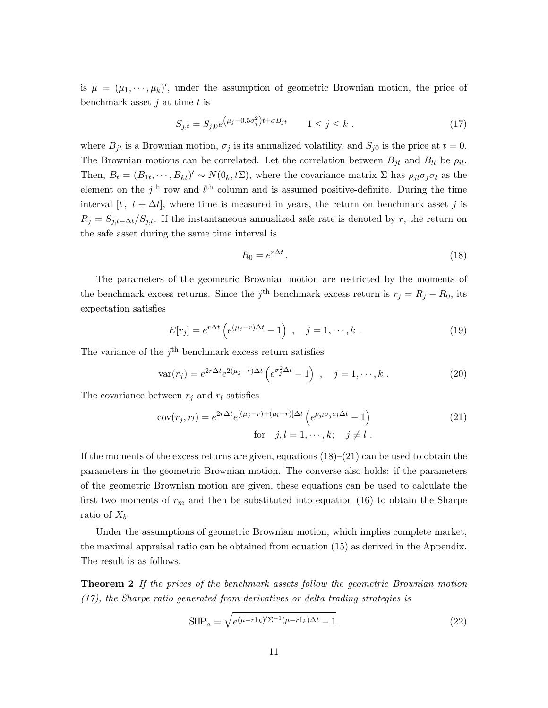is  $\mu = (\mu_1, \dots, \mu_k)'$ , under the assumption of geometric Brownian motion, the price of benchmark asset  $j$  at time  $t$  is

$$
S_{j,t} = S_{j,0}e^{(\mu_j - 0.5\sigma_j^2)t + \sigma B_{jt}} \qquad 1 \le j \le k . \tag{17}
$$

where  $B_{jt}$  is a Brownian motion,  $\sigma_j$  is its annualized volatility, and  $S_{j0}$  is the price at  $t = 0$ . The Brownian motions can be correlated. Let the correlation between  $B_{jt}$  and  $B_{lt}$  be  $\rho_{il}$ . Then,  $B_t = (B_{1t}, \dots, B_{kt})' \sim N(0_k, t\Sigma)$ , where the covariance matrix  $\Sigma$  has  $\rho_{jl}\sigma_j\sigma_l$  as the element on the  $j<sup>th</sup>$  row and  $l<sup>th</sup>$  column and is assumed positive-definite. During the time interval [t,  $t + \Delta t$ ], where time is measured in years, the return on benchmark asset j is  $R_j = S_{j,t+\Delta t}/S_{j,t}$ . If the instantaneous annualized safe rate is denoted by r, the return on the safe asset during the same time interval is

$$
R_0 = e^{r\Delta t}.
$$
\n<sup>(18)</sup>

The parameters of the geometric Brownian motion are restricted by the moments of the benchmark excess returns. Since the j<sup>th</sup> benchmark excess return is  $r_j = R_j - R_0$ , its expectation satisfies

$$
E[r_j] = e^{r\Delta t} \left( e^{(\mu_j - r)\Delta t} - 1 \right) , \quad j = 1, \cdots, k . \tag{19}
$$

The variance of the  $j^{\text{th}}$  benchmark excess return satisfies

$$
\text{var}(r_j) = e^{2r\Delta t} e^{2(\mu_j - r)\Delta t} \left( e^{\sigma_j^2 \Delta t} - 1 \right) , \quad j = 1, \cdots, k . \tag{20}
$$

The covariance between  $r_j$  and  $r_l$  satisfies

$$
cov(r_j, r_l) = e^{2r\Delta t} e^{[(\mu_j - r) + (\mu_l - r)]\Delta t} \left( e^{\rho_{jl}\sigma_j \sigma_l \Delta t} - 1 \right)
$$
  
for  $j, l = 1, \dots, k; j \neq l$ . (21)

If the moments of the excess returns are given, equations  $(18)-(21)$  can be used to obtain the parameters in the geometric Brownian motion. The converse also holds: if the parameters of the geometric Brownian motion are given, these equations can be used to calculate the first two moments of  $r_m$  and then be substituted into equation (16) to obtain the Sharpe ratio of  $X_b$ .

Under the assumptions of geometric Brownian motion, which implies complete market, the maximal appraisal ratio can be obtained from equation (15) as derived in the Appendix. The result is as follows.

Theorem 2 If the prices of the benchmark assets follow the geometric Brownian motion (17), the Sharpe ratio generated from derivatives or delta trading strategies is

$$
SHP_a = \sqrt{e^{(\mu - r1_k)'\Sigma^{-1}(\mu - r1_k)\Delta t} - 1}.
$$
\n(22)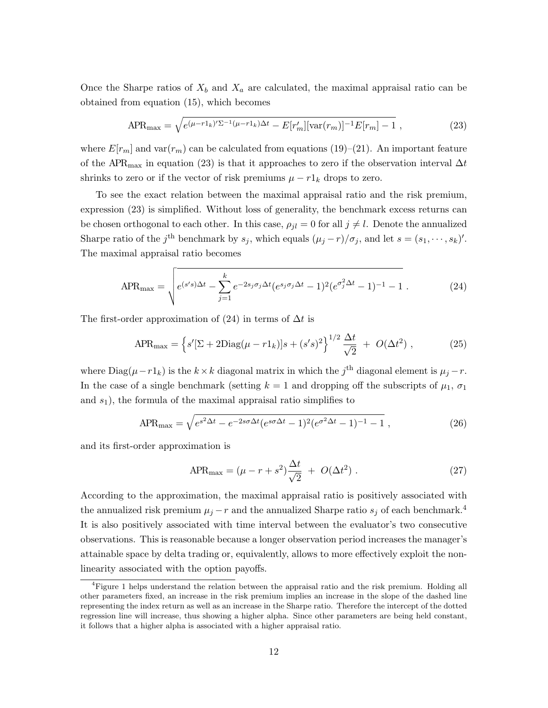Once the Sharpe ratios of  $X_b$  and  $X_a$  are calculated, the maximal appraisal ratio can be obtained from equation (15), which becomes

$$
\text{APR}_{\text{max}} = \sqrt{e^{(\mu - r_{1k})/\Sigma^{-1}(\mu - r_{1k})\Delta t} - E[r'_{m}][\text{var}(r_{m})]^{-1}E[r_{m}] - 1},\tag{23}
$$

where  $E[r_m]$  and var $(r_m)$  can be calculated from equations (19)–(21). An important feature of the APR<sub>max</sub> in equation (23) is that it approaches to zero if the observation interval  $\Delta t$ shrinks to zero or if the vector of risk premiums  $\mu - r1_k$  drops to zero.

To see the exact relation between the maximal appraisal ratio and the risk premium, expression (23) is simplified. Without loss of generality, the benchmark excess returns can be chosen orthogonal to each other. In this case,  $\rho_{il} = 0$  for all  $j \neq l$ . Denote the annualized Sharpe ratio of the j<sup>th</sup> benchmark by  $s_j$ , which equals  $(\mu_j - r)/\sigma_j$ , and let  $s = (s_1, \dots, s_k)'$ . The maximal appraisal ratio becomes

$$
APR_{\max} = \sqrt{e^{(s's)\Delta t} - \sum_{j=1}^{k} e^{-2s_j \sigma_j \Delta t} (e^{s_j \sigma_j \Delta t} - 1)^2 (e^{\sigma_j^2 \Delta t} - 1)^{-1} - 1}.
$$
 (24)

The first-order approximation of (24) in terms of  $\Delta t$  is

$$
APR_{\text{max}} = \left\{ s'[\Sigma + 2\text{Diag}(\mu - r_{1k})]s + (s's)^2 \right\}^{1/2} \frac{\Delta t}{\sqrt{2}} + O(\Delta t^2) ,\qquad (25)
$$

where  $\text{Diag}(\mu - r1_k)$  is the  $k \times k$  diagonal matrix in which the j<sup>th</sup> diagonal element is  $\mu_j - r$ . In the case of a single benchmark (setting  $k = 1$  and dropping off the subscripts of  $\mu_1$ ,  $\sigma_1$ and  $s_1$ ), the formula of the maximal appraisal ratio simplifies to

$$
APR_{\text{max}} = \sqrt{e^{s^2 \Delta t} - e^{-2s\sigma \Delta t} (e^{s\sigma \Delta t} - 1)^2 (e^{\sigma^2 \Delta t} - 1)^{-1} - 1} \,,\tag{26}
$$

and its first-order approximation is

$$
APR_{\text{max}} = (\mu - r + s^2) \frac{\Delta t}{\sqrt{2}} + O(\Delta t^2) . \qquad (27)
$$

According to the approximation, the maximal appraisal ratio is positively associated with the annualized risk premium  $\mu_j - r$  and the annualized Sharpe ratio  $s_j$  of each benchmark.<sup>4</sup> It is also positively associated with time interval between the evaluator's two consecutive observations. This is reasonable because a longer observation period increases the manager's attainable space by delta trading or, equivalently, allows to more effectively exploit the nonlinearity associated with the option payoffs.

<sup>4</sup>Figure 1 helps understand the relation between the appraisal ratio and the risk premium. Holding all other parameters fixed, an increase in the risk premium implies an increase in the slope of the dashed line representing the index return as well as an increase in the Sharpe ratio. Therefore the intercept of the dotted regression line will increase, thus showing a higher alpha. Since other parameters are being held constant, it follows that a higher alpha is associated with a higher appraisal ratio.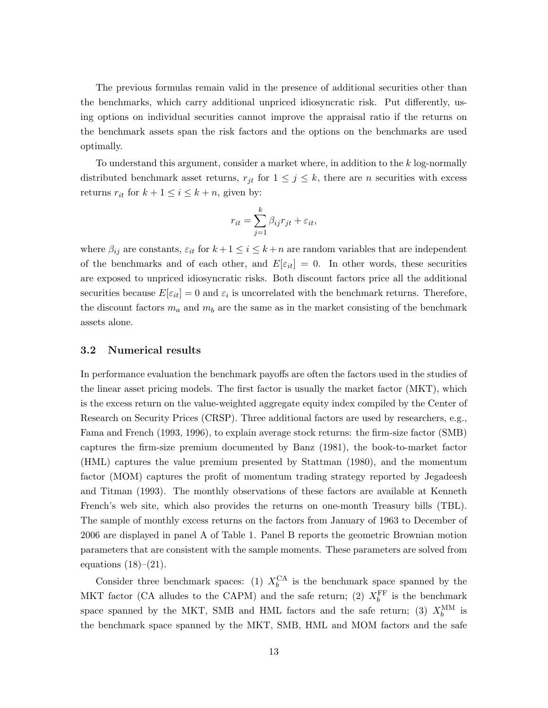The previous formulas remain valid in the presence of additional securities other than the benchmarks, which carry additional unpriced idiosyncratic risk. Put differently, using options on individual securities cannot improve the appraisal ratio if the returns on the benchmark assets span the risk factors and the options on the benchmarks are used optimally.

To understand this argument, consider a market where, in addition to the k log-normally distributed benchmark asset returns,  $r_{jt}$  for  $1 \leq j \leq k$ , there are *n* securities with excess returns  $r_{it}$  for  $k + 1 \leq i \leq k + n$ , given by:

$$
r_{it} = \sum_{j=1}^{k} \beta_{ij} r_{jt} + \varepsilon_{it},
$$

where  $\beta_{ij}$  are constants,  $\varepsilon_{it}$  for  $k+1 \leq i \leq k+n$  are random variables that are independent of the benchmarks and of each other, and  $E[\varepsilon_{it}] = 0$ . In other words, these securities are exposed to unpriced idiosyncratic risks. Both discount factors price all the additional securities because  $E[\varepsilon_{it}] = 0$  and  $\varepsilon_i$  is uncorrelated with the benchmark returns. Therefore, the discount factors  $m_a$  and  $m_b$  are the same as in the market consisting of the benchmark assets alone.

#### 3.2 Numerical results

In performance evaluation the benchmark payoffs are often the factors used in the studies of the linear asset pricing models. The first factor is usually the market factor (MKT), which is the excess return on the value-weighted aggregate equity index compiled by the Center of Research on Security Prices (CRSP). Three additional factors are used by researchers, e.g., Fama and French (1993, 1996), to explain average stock returns: the firm-size factor (SMB) captures the firm-size premium documented by Banz (1981), the book-to-market factor (HML) captures the value premium presented by Stattman (1980), and the momentum factor (MOM) captures the profit of momentum trading strategy reported by Jegadeesh and Titman (1993). The monthly observations of these factors are available at Kenneth French's web site, which also provides the returns on one-month Treasury bills (TBL). The sample of monthly excess returns on the factors from January of 1963 to December of 2006 are displayed in panel A of Table 1. Panel B reports the geometric Brownian motion parameters that are consistent with the sample moments. These parameters are solved from equations  $(18)$ – $(21)$ .

Consider three benchmark spaces: (1)  $X_b^{\text{CA}}$  is the benchmark space spanned by the MKT factor (CA alludes to the CAPM) and the safe return; (2)  $X_b^{\text{FF}}$  is the benchmark space spanned by the MKT, SMB and HML factors and the safe return; (3)  $X_b^{\text{MM}}$  is the benchmark space spanned by the MKT, SMB, HML and MOM factors and the safe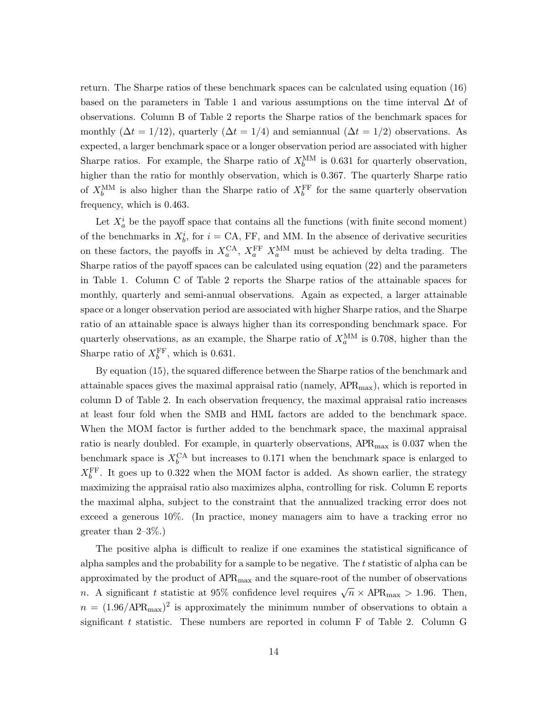return. The Sharpe ratios of these benchmark spaces can be calculated using equation (16) based on the parameters in Table 1 and various assumptions on the time interval  $\Delta t$  of observations. Column B of Table 2 reports the Sharpe ratios of the benchmark spaces for monthly ( $\Delta t = 1/12$ ), quarterly ( $\Delta t = 1/4$ ) and semiannual ( $\Delta t = 1/2$ ) observations. As expected, a larger benchmark space or a longer observation period are associated with higher Sharpe ratios. For example, the Sharpe ratio of  $X_b^{\text{MM}}$  is 0.631 for quarterly observation, higher than the ratio for monthly observation, which is 0.367. The quarterly Sharpe ratio of  $X_b^{\text{MM}}$  is also higher than the Sharpe ratio of  $X_b^{\text{FF}}$  for the same quarterly observation frequency, which is 0.463.

Let  $X_a^i$  be the payoff space that contains all the functions (with finite second moment) of the benchmarks in  $X_b^i$ , for  $i = \text{CA}, \text{FF}, \text{and MM}$ . In the absence of derivative securities on these factors, the payoffs in  $X_a^{\text{CA}}, X_a^{\text{FF}} X_a^{\text{MM}}$  must be achieved by delta trading. The Sharpe ratios of the payoff spaces can be calculated using equation (22) and the parameters in Table 1. Column C of Table 2 reports the Sharpe ratios of the attainable spaces for monthly, quarterly and semi-annual observations. Again as expected, a larger attainable space or a longer observation period are associated with higher Sharpe ratios, and the Sharpe ratio of an attainable space is always higher than its corresponding benchmark space. For quarterly observations, as an example, the Sharpe ratio of  $X_a^{\text{MM}}$  is 0.708, higher than the Sharpe ratio of  $X_b^{\text{FF}}$ , which is 0.631.

By equation (15), the squared difference between the Sharpe ratios of the benchmark and attainable spaces gives the maximal appraisal ratio (namely,  $APR<sub>max</sub>$ ), which is reported in column D of Table 2. In each observation frequency, the maximal appraisal ratio increases at least four fold when the SMB and HML factors are added to the benchmark space. When the MOM factor is further added to the benchmark space, the maximal appraisal ratio is nearly doubled. For example, in quarterly observations,  $APR<sub>max</sub>$  is 0.037 when the benchmark space is  $X_b^{\text{CA}}$  but increases to 0.171 when the benchmark space is enlarged to  $X_b^{\text{FF}}$ . It goes up to 0.322 when the MOM factor is added. As shown earlier, the strategy maximizing the appraisal ratio also maximizes alpha, controlling for risk. Column E reports the maximal alpha, subject to the constraint that the annualized tracking error does not exceed a generous 10%. (In practice, money managers aim to have a tracking error no greater than 2–3%.)

The positive alpha is difficult to realize if one examines the statistical significance of alpha samples and the probability for a sample to be negative. The t statistic of alpha can be approximated by the product of  $APR<sub>max</sub>$  and the square-root of the number of observations n. A significant t statistic at 95% confidence level requires  $\sqrt{n} \times \text{APR}_{\text{max}} > 1.96$ . Then,  $n = (1.96/APR<sub>max</sub>)<sup>2</sup>$  is approximately the minimum number of observations to obtain a significant  $t$  statistic. These numbers are reported in column  $F$  of Table 2. Column  $G$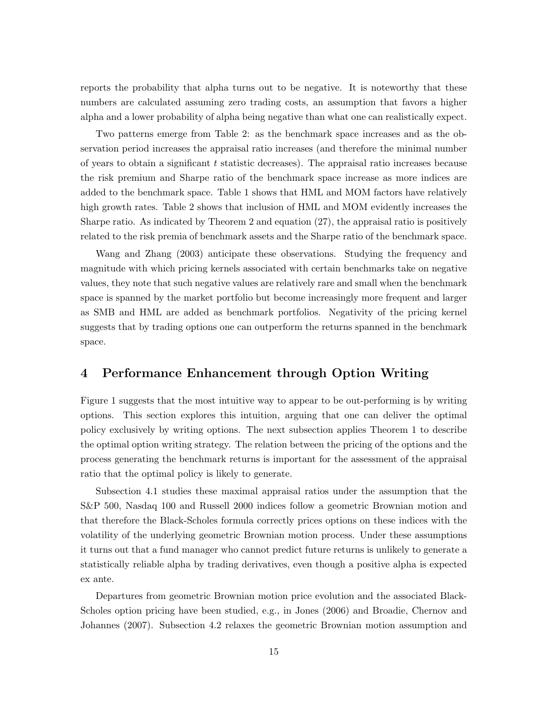reports the probability that alpha turns out to be negative. It is noteworthy that these numbers are calculated assuming zero trading costs, an assumption that favors a higher alpha and a lower probability of alpha being negative than what one can realistically expect.

Two patterns emerge from Table 2: as the benchmark space increases and as the observation period increases the appraisal ratio increases (and therefore the minimal number of years to obtain a significant  $t$  statistic decreases). The appraisal ratio increases because the risk premium and Sharpe ratio of the benchmark space increase as more indices are added to the benchmark space. Table 1 shows that HML and MOM factors have relatively high growth rates. Table 2 shows that inclusion of HML and MOM evidently increases the Sharpe ratio. As indicated by Theorem 2 and equation (27), the appraisal ratio is positively related to the risk premia of benchmark assets and the Sharpe ratio of the benchmark space.

Wang and Zhang (2003) anticipate these observations. Studying the frequency and magnitude with which pricing kernels associated with certain benchmarks take on negative values, they note that such negative values are relatively rare and small when the benchmark space is spanned by the market portfolio but become increasingly more frequent and larger as SMB and HML are added as benchmark portfolios. Negativity of the pricing kernel suggests that by trading options one can outperform the returns spanned in the benchmark space.

## 4 Performance Enhancement through Option Writing

Figure 1 suggests that the most intuitive way to appear to be out-performing is by writing options. This section explores this intuition, arguing that one can deliver the optimal policy exclusively by writing options. The next subsection applies Theorem 1 to describe the optimal option writing strategy. The relation between the pricing of the options and the process generating the benchmark returns is important for the assessment of the appraisal ratio that the optimal policy is likely to generate.

Subsection 4.1 studies these maximal appraisal ratios under the assumption that the S&P 500, Nasdaq 100 and Russell 2000 indices follow a geometric Brownian motion and that therefore the Black-Scholes formula correctly prices options on these indices with the volatility of the underlying geometric Brownian motion process. Under these assumptions it turns out that a fund manager who cannot predict future returns is unlikely to generate a statistically reliable alpha by trading derivatives, even though a positive alpha is expected ex ante.

Departures from geometric Brownian motion price evolution and the associated Black-Scholes option pricing have been studied, e.g., in Jones (2006) and Broadie, Chernov and Johannes (2007). Subsection 4.2 relaxes the geometric Brownian motion assumption and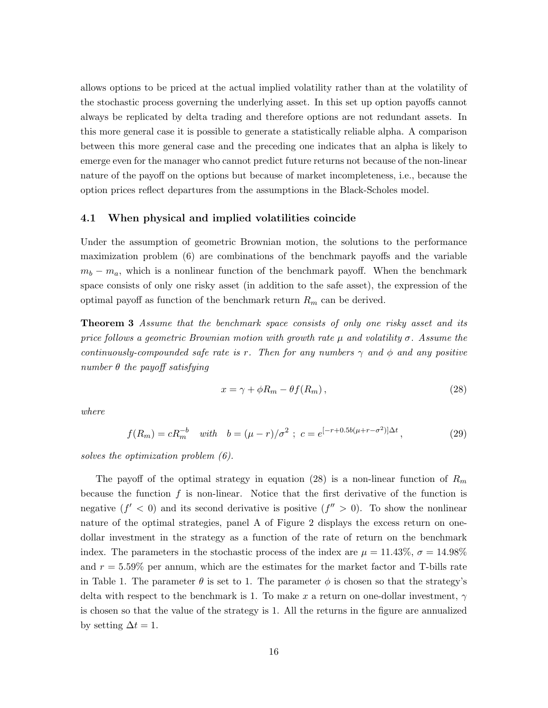allows options to be priced at the actual implied volatility rather than at the volatility of the stochastic process governing the underlying asset. In this set up option payoffs cannot always be replicated by delta trading and therefore options are not redundant assets. In this more general case it is possible to generate a statistically reliable alpha. A comparison between this more general case and the preceding one indicates that an alpha is likely to emerge even for the manager who cannot predict future returns not because of the non-linear nature of the payoff on the options but because of market incompleteness, i.e., because the option prices reflect departures from the assumptions in the Black-Scholes model.

#### 4.1 When physical and implied volatilities coincide

Under the assumption of geometric Brownian motion, the solutions to the performance maximization problem (6) are combinations of the benchmark payoffs and the variable  $m_b - m_a$ , which is a nonlinear function of the benchmark payoff. When the benchmark space consists of only one risky asset (in addition to the safe asset), the expression of the optimal payoff as function of the benchmark return  $R_m$  can be derived.

**Theorem 3** Assume that the benchmark space consists of only one risky asset and its price follows a geometric Brownian motion with growth rate  $\mu$  and volatility  $\sigma$ . Assume the continuously-compounded safe rate is r. Then for any numbers  $\gamma$  and  $\phi$  and any positive number  $\theta$  the payoff satisfying

$$
x = \gamma + \phi R_m - \theta f(R_m), \qquad (28)
$$

where

$$
f(R_m) = cR_m^{-b} \quad with \quad b = (\mu - r)/\sigma^2 \; ; \; c = e^{[-r+0.5b(\mu + r - \sigma^2)]\Delta t} \,, \tag{29}
$$

solves the optimization problem (6).

The payoff of the optimal strategy in equation (28) is a non-linear function of  $R_m$ because the function  $f$  is non-linear. Notice that the first derivative of the function is negative  $(f' < 0)$  and its second derivative is positive  $(f'' > 0)$ . To show the nonlinear nature of the optimal strategies, panel A of Figure 2 displays the excess return on onedollar investment in the strategy as a function of the rate of return on the benchmark index. The parameters in the stochastic process of the index are  $\mu = 11.43\%$ ,  $\sigma = 14.98\%$ and  $r = 5.59\%$  per annum, which are the estimates for the market factor and T-bills rate in Table 1. The parameter  $\theta$  is set to 1. The parameter  $\phi$  is chosen so that the strategy's delta with respect to the benchmark is 1. To make x a return on one-dollar investment,  $\gamma$ is chosen so that the value of the strategy is 1. All the returns in the figure are annualized by setting  $\Delta t = 1$ .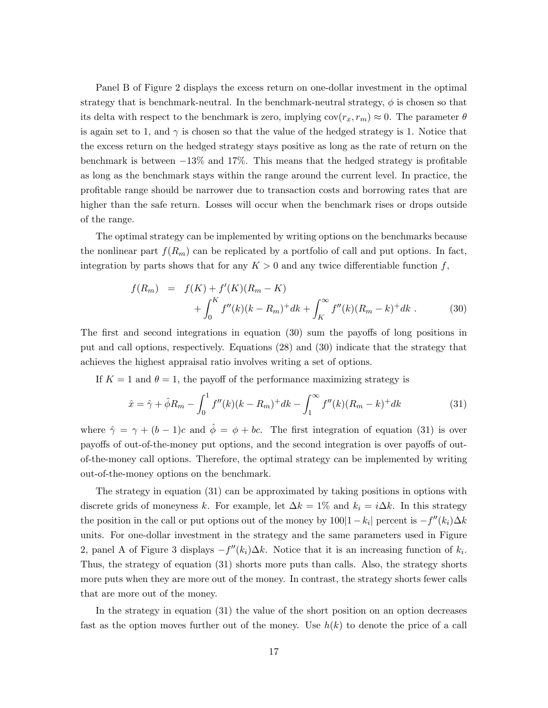Panel B of Figure 2 displays the excess return on one-dollar investment in the optimal strategy that is benchmark-neutral. In the benchmark-neutral strategy,  $\phi$  is chosen so that its delta with respect to the benchmark is zero, implying  $cov(r_x, r_m) \approx 0$ . The parameter  $\theta$ is again set to 1, and  $\gamma$  is chosen so that the value of the hedged strategy is 1. Notice that the excess return on the hedged strategy stays positive as long as the rate of return on the benchmark is between −13% and 17%. This means that the hedged strategy is profitable as long as the benchmark stays within the range around the current level. In practice, the profitable range should be narrower due to transaction costs and borrowing rates that are higher than the safe return. Losses will occur when the benchmark rises or drops outside of the range.

The optimal strategy can be implemented by writing options on the benchmarks because the nonlinear part  $f(R_m)$  can be replicated by a portfolio of call and put options. In fact, integration by parts shows that for any  $K > 0$  and any twice differentiable function f,

$$
f(R_m) = f(K) + f'(K)(R_m - K)
$$
  
+ 
$$
\int_0^K f''(k)(k - R_m)^+ dk + \int_K^\infty f''(k)(R_m - k)^+ dk .
$$
 (30)

The first and second integrations in equation (30) sum the payoffs of long positions in put and call options, respectively. Equations (28) and (30) indicate that the strategy that achieves the highest appraisal ratio involves writing a set of options.

If  $K = 1$  and  $\theta = 1$ , the payoff of the performance maximizing strategy is

$$
\hat{x} = \hat{\gamma} + \hat{\phi}R_m - \int_0^1 f''(k)(k - R_m)^+ dk - \int_1^\infty f''(k)(R_m - k)^+ dk \tag{31}
$$

where  $\hat{\gamma} = \gamma + (b-1)c$  and  $\hat{\phi} = \phi + bc$ . The first integration of equation (31) is over payoffs of out-of-the-money put options, and the second integration is over payoffs of outof-the-money call options. Therefore, the optimal strategy can be implemented by writing out-of-the-money options on the benchmark.

The strategy in equation (31) can be approximated by taking positions in options with discrete grids of moneyness k. For example, let  $\Delta k = 1\%$  and  $k_i = i\Delta k$ . In this strategy the position in the call or put options out of the money by  $100|1 - k_i|$  percent is  $-f''(k_i)\Delta k$ units. For one-dollar investment in the strategy and the same parameters used in Figure 2, panel A of Figure 3 displays  $-f''(k_i)\Delta k$ . Notice that it is an increasing function of  $k_i$ . Thus, the strategy of equation (31) shorts more puts than calls. Also, the strategy shorts more puts when they are more out of the money. In contrast, the strategy shorts fewer calls that are more out of the money.

In the strategy in equation (31) the value of the short position on an option decreases fast as the option moves further out of the money. Use  $h(k)$  to denote the price of a call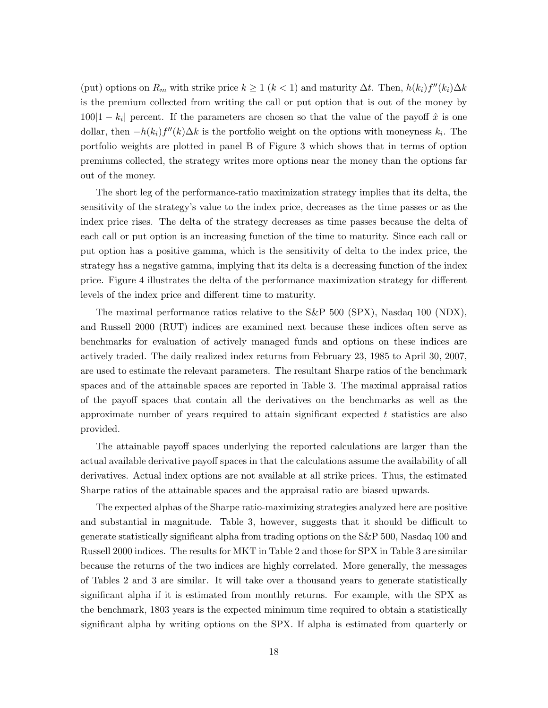(put) options on  $R_m$  with strike price  $k \geq 1$  ( $k < 1$ ) and maturity  $\Delta t$ . Then,  $h(k_i) f''(k_i) \Delta k$ is the premium collected from writing the call or put option that is out of the money by  $100|1 - k_i|$  percent. If the parameters are chosen so that the value of the payoff  $\hat{x}$  is one dollar, then  $-h(k_i)f''(k)\Delta k$  is the portfolio weight on the options with moneyness  $k_i$ . The portfolio weights are plotted in panel B of Figure 3 which shows that in terms of option premiums collected, the strategy writes more options near the money than the options far out of the money.

The short leg of the performance-ratio maximization strategy implies that its delta, the sensitivity of the strategy's value to the index price, decreases as the time passes or as the index price rises. The delta of the strategy decreases as time passes because the delta of each call or put option is an increasing function of the time to maturity. Since each call or put option has a positive gamma, which is the sensitivity of delta to the index price, the strategy has a negative gamma, implying that its delta is a decreasing function of the index price. Figure 4 illustrates the delta of the performance maximization strategy for different levels of the index price and different time to maturity.

The maximal performance ratios relative to the S&P 500 (SPX), Nasdaq 100 (NDX), and Russell 2000 (RUT) indices are examined next because these indices often serve as benchmarks for evaluation of actively managed funds and options on these indices are actively traded. The daily realized index returns from February 23, 1985 to April 30, 2007, are used to estimate the relevant parameters. The resultant Sharpe ratios of the benchmark spaces and of the attainable spaces are reported in Table 3. The maximal appraisal ratios of the payoff spaces that contain all the derivatives on the benchmarks as well as the approximate number of years required to attain significant expected  $t$  statistics are also provided.

The attainable payoff spaces underlying the reported calculations are larger than the actual available derivative payoff spaces in that the calculations assume the availability of all derivatives. Actual index options are not available at all strike prices. Thus, the estimated Sharpe ratios of the attainable spaces and the appraisal ratio are biased upwards.

The expected alphas of the Sharpe ratio-maximizing strategies analyzed here are positive and substantial in magnitude. Table 3, however, suggests that it should be difficult to generate statistically significant alpha from trading options on the S&P 500, Nasdaq 100 and Russell 2000 indices. The results for MKT in Table 2 and those for SPX in Table 3 are similar because the returns of the two indices are highly correlated. More generally, the messages of Tables 2 and 3 are similar. It will take over a thousand years to generate statistically significant alpha if it is estimated from monthly returns. For example, with the SPX as the benchmark, 1803 years is the expected minimum time required to obtain a statistically significant alpha by writing options on the SPX. If alpha is estimated from quarterly or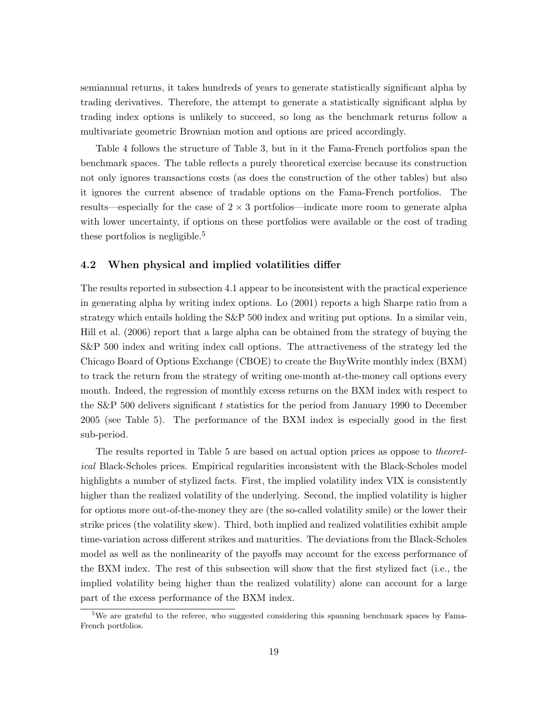semiannual returns, it takes hundreds of years to generate statistically significant alpha by trading derivatives. Therefore, the attempt to generate a statistically significant alpha by trading index options is unlikely to succeed, so long as the benchmark returns follow a multivariate geometric Brownian motion and options are priced accordingly.

Table 4 follows the structure of Table 3, but in it the Fama-French portfolios span the benchmark spaces. The table reflects a purely theoretical exercise because its construction not only ignores transactions costs (as does the construction of the other tables) but also it ignores the current absence of tradable options on the Fama-French portfolios. The results—especially for the case of  $2 \times 3$  portfolios—indicate more room to generate alpha with lower uncertainty, if options on these portfolios were available or the cost of trading these portfolios is negligible.<sup>5</sup>

### 4.2 When physical and implied volatilities differ

The results reported in subsection 4.1 appear to be inconsistent with the practical experience in generating alpha by writing index options. Lo (2001) reports a high Sharpe ratio from a strategy which entails holding the S&P 500 index and writing put options. In a similar vein, Hill et al. (2006) report that a large alpha can be obtained from the strategy of buying the S&P 500 index and writing index call options. The attractiveness of the strategy led the Chicago Board of Options Exchange (CBOE) to create the BuyWrite monthly index (BXM) to track the return from the strategy of writing one-month at-the-money call options every month. Indeed, the regression of monthly excess returns on the BXM index with respect to the S&P 500 delivers significant t statistics for the period from January 1990 to December 2005 (see Table 5). The performance of the BXM index is especially good in the first sub-period.

The results reported in Table 5 are based on actual option prices as oppose to theoretical Black-Scholes prices. Empirical regularities inconsistent with the Black-Scholes model highlights a number of stylized facts. First, the implied volatility index VIX is consistently higher than the realized volatility of the underlying. Second, the implied volatility is higher for options more out-of-the-money they are (the so-called volatility smile) or the lower their strike prices (the volatility skew). Third, both implied and realized volatilities exhibit ample time-variation across different strikes and maturities. The deviations from the Black-Scholes model as well as the nonlinearity of the payoffs may account for the excess performance of the BXM index. The rest of this subsection will show that the first stylized fact (i.e., the implied volatility being higher than the realized volatility) alone can account for a large part of the excess performance of the BXM index.

<sup>&</sup>lt;sup>5</sup>We are grateful to the referee, who suggested considering this spanning benchmark spaces by Fama-French portfolios.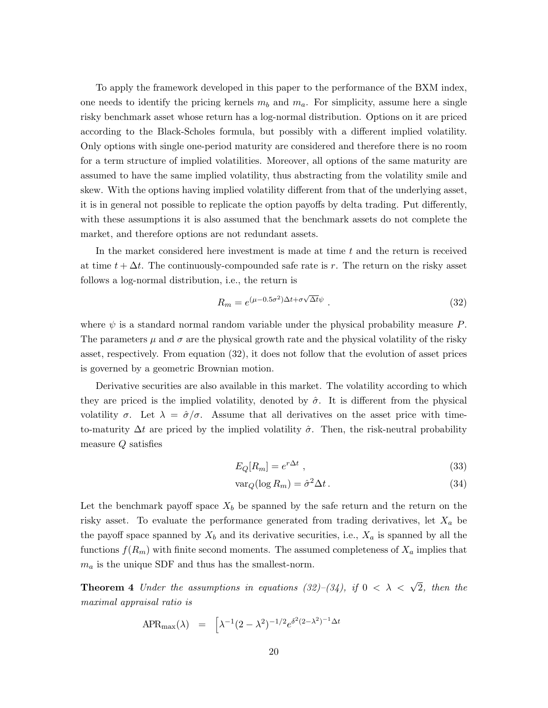To apply the framework developed in this paper to the performance of the BXM index, one needs to identify the pricing kernels  $m_b$  and  $m_a$ . For simplicity, assume here a single risky benchmark asset whose return has a log-normal distribution. Options on it are priced according to the Black-Scholes formula, but possibly with a different implied volatility. Only options with single one-period maturity are considered and therefore there is no room for a term structure of implied volatilities. Moreover, all options of the same maturity are assumed to have the same implied volatility, thus abstracting from the volatility smile and skew. With the options having implied volatility different from that of the underlying asset, it is in general not possible to replicate the option payoffs by delta trading. Put differently, with these assumptions it is also assumed that the benchmark assets do not complete the market, and therefore options are not redundant assets.

In the market considered here investment is made at time  $t$  and the return is received at time  $t + \Delta t$ . The continuously-compounded safe rate is r. The return on the risky asset follows a log-normal distribution, i.e., the return is

$$
R_m = e^{(\mu - 0.5\sigma^2)\Delta t + \sigma\sqrt{\Delta t}\psi} \tag{32}
$$

where  $\psi$  is a standard normal random variable under the physical probability measure P. The parameters  $\mu$  and  $\sigma$  are the physical growth rate and the physical volatility of the risky asset, respectively. From equation (32), it does not follow that the evolution of asset prices is governed by a geometric Brownian motion.

Derivative securities are also available in this market. The volatility according to which they are priced is the implied volatility, denoted by  $\hat{\sigma}$ . It is different from the physical volatility  $\sigma$ . Let  $\lambda = \hat{\sigma}/\sigma$ . Assume that all derivatives on the asset price with timeto-maturity  $\Delta t$  are priced by the implied volatility  $\hat{\sigma}$ . Then, the risk-neutral probability measure Q satisfies

$$
E_Q[R_m] = e^{r\Delta t} \t\t(33)
$$

$$
\text{var}_Q(\log R_m) = \hat{\sigma}^2 \Delta t. \tag{34}
$$

Let the benchmark payoff space  $X_b$  be spanned by the safe return and the return on the risky asset. To evaluate the performance generated from trading derivatives, let  $X_a$  be the payoff space spanned by  $X_b$  and its derivative securities, i.e.,  $X_a$  is spanned by all the functions  $f(R_m)$  with finite second moments. The assumed completeness of  $X_a$  implies that  $m_a$  is the unique SDF and thus has the smallest-norm.

**Theorem 4** Under the assumptions in equations (32)–(34), if  $0 < \lambda < \sqrt{2}$ , then the maximal appraisal ratio is

$$
APR_{\max}(\lambda) = \left[\lambda^{-1}(2-\lambda^2)^{-1/2}e^{\delta^2(2-\lambda^2)^{-1}\Delta t}\right]
$$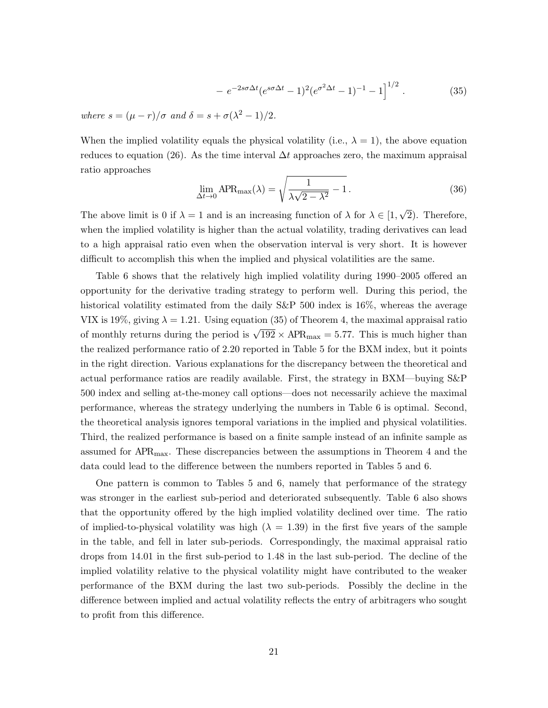$$
- e^{-2s\sigma\Delta t} (e^{s\sigma\Delta t} - 1)^2 (e^{\sigma^2\Delta t} - 1)^{-1} - 1 \Big]^{1/2} . \tag{35}
$$

where  $s = (\mu - r)/\sigma$  and  $\delta = s + \sigma(\lambda^2 - 1)/2$ .

When the implied volatility equals the physical volatility (i.e.,  $\lambda = 1$ ), the above equation reduces to equation (26). As the time interval  $\Delta t$  approaches zero, the maximum appraisal ratio approaches

$$
\lim_{\Delta t \to 0} \text{APR}_{\text{max}}(\lambda) = \sqrt{\frac{1}{\lambda \sqrt{2 - \lambda^2}} - 1}.
$$
\n(36)

The above limit is 0 if  $\lambda = 1$  and is an increasing function of  $\lambda$  for  $\lambda \in [1, 1]$ 2). Therefore, when the implied volatility is higher than the actual volatility, trading derivatives can lead to a high appraisal ratio even when the observation interval is very short. It is however difficult to accomplish this when the implied and physical volatilities are the same.

Table 6 shows that the relatively high implied volatility during 1990–2005 offered an opportunity for the derivative trading strategy to perform well. During this period, the historical volatility estimated from the daily S&P 500 index is 16\%, whereas the average VIX is 19%, giving  $\lambda = 1.21$ . Using equation (35) of Theorem 4, the maximal appraisal ratio of monthly returns during the period is  $\sqrt{192} \times \text{APR}_{\text{max}} = 5.77$ . This is much higher than the realized performance ratio of 2.20 reported in Table 5 for the BXM index, but it points in the right direction. Various explanations for the discrepancy between the theoretical and actual performance ratios are readily available. First, the strategy in BXM—buying S&P 500 index and selling at-the-money call options—does not necessarily achieve the maximal performance, whereas the strategy underlying the numbers in Table 6 is optimal. Second, the theoretical analysis ignores temporal variations in the implied and physical volatilities. Third, the realized performance is based on a finite sample instead of an infinite sample as assumed for  $APR<sub>max</sub>$ . These discrepancies between the assumptions in Theorem 4 and the data could lead to the difference between the numbers reported in Tables 5 and 6.

One pattern is common to Tables 5 and 6, namely that performance of the strategy was stronger in the earliest sub-period and deteriorated subsequently. Table 6 also shows that the opportunity offered by the high implied volatility declined over time. The ratio of implied-to-physical volatility was high  $(\lambda = 1.39)$  in the first five years of the sample in the table, and fell in later sub-periods. Correspondingly, the maximal appraisal ratio drops from 14.01 in the first sub-period to 1.48 in the last sub-period. The decline of the implied volatility relative to the physical volatility might have contributed to the weaker performance of the BXM during the last two sub-periods. Possibly the decline in the difference between implied and actual volatility reflects the entry of arbitragers who sought to profit from this difference.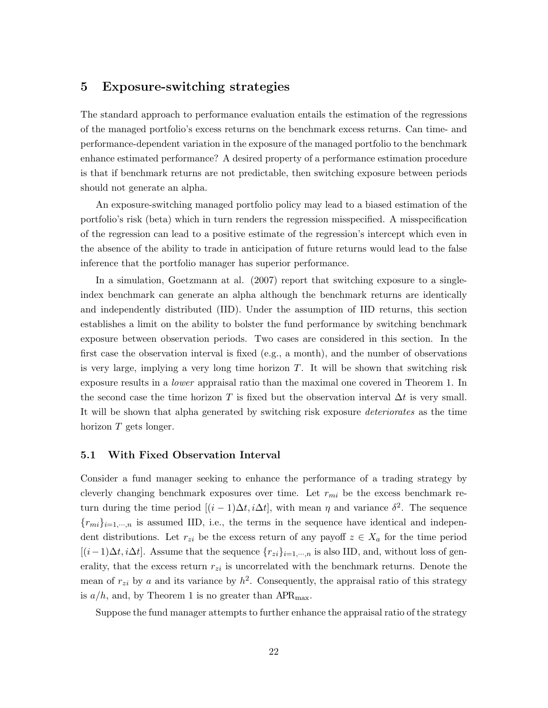## 5 Exposure-switching strategies

The standard approach to performance evaluation entails the estimation of the regressions of the managed portfolio's excess returns on the benchmark excess returns. Can time- and performance-dependent variation in the exposure of the managed portfolio to the benchmark enhance estimated performance? A desired property of a performance estimation procedure is that if benchmark returns are not predictable, then switching exposure between periods should not generate an alpha.

An exposure-switching managed portfolio policy may lead to a biased estimation of the portfolio's risk (beta) which in turn renders the regression misspecified. A misspecification of the regression can lead to a positive estimate of the regression's intercept which even in the absence of the ability to trade in anticipation of future returns would lead to the false inference that the portfolio manager has superior performance.

In a simulation, Goetzmann at al. (2007) report that switching exposure to a singleindex benchmark can generate an alpha although the benchmark returns are identically and independently distributed (IID). Under the assumption of IID returns, this section establishes a limit on the ability to bolster the fund performance by switching benchmark exposure between observation periods. Two cases are considered in this section. In the first case the observation interval is fixed (e.g., a month), and the number of observations is very large, implying a very long time horizon  $T$ . It will be shown that switching risk exposure results in a lower appraisal ratio than the maximal one covered in Theorem 1. In the second case the time horizon T is fixed but the observation interval  $\Delta t$  is very small. It will be shown that alpha generated by switching risk exposure *deteriorates* as the time horizon T gets longer.

#### 5.1 With Fixed Observation Interval

Consider a fund manager seeking to enhance the performance of a trading strategy by cleverly changing benchmark exposures over time. Let  $r_{mi}$  be the excess benchmark return during the time period  $[(i-1)\Delta t, i\Delta t]$ , with mean  $\eta$  and variance  $\delta^2$ . The sequence  ${r_{mi}}_{i=1,\dots,n}$  is assumed IID, i.e., the terms in the sequence have identical and independent distributions. Let  $r_{zi}$  be the excess return of any payoff  $z \in X_a$  for the time period  $[(i-1)\Delta t, i\Delta t]$ . Assume that the sequence  $\{r_{zi}\}_{i=1,\dots,n}$  is also IID, and, without loss of generality, that the excess return  $r_{zi}$  is uncorrelated with the benchmark returns. Denote the mean of  $r_{zi}$  by a and its variance by  $h^2$ . Consequently, the appraisal ratio of this strategy is  $a/h$ , and, by Theorem 1 is no greater than APR<sub>max</sub>.

Suppose the fund manager attempts to further enhance the appraisal ratio of the strategy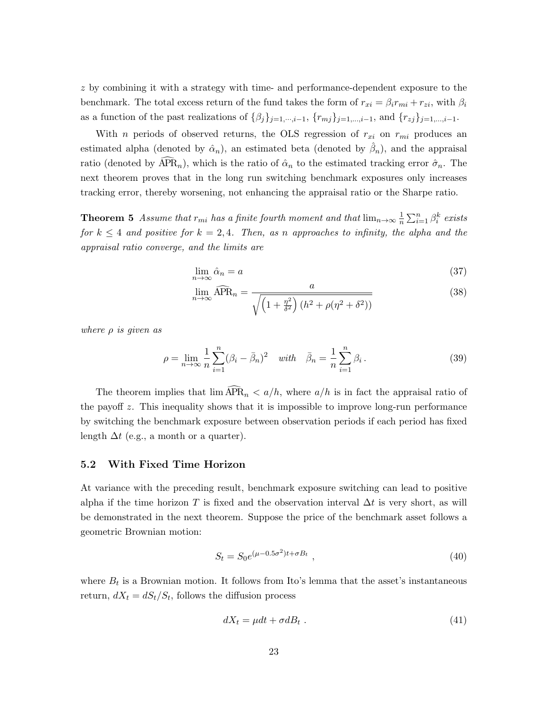z by combining it with a strategy with time- and performance-dependent exposure to the benchmark. The total excess return of the fund takes the form of  $r_{xi} = \beta_i r_{mi} + r_{zi}$ , with  $\beta_i$ as a function of the past realizations of  $\{\beta_j\}_{j=1,\dots,i-1}$ ,  $\{r_{mj}\}_{j=1,\dots,i-1}$ , and  $\{r_{zj}\}_{j=1,\dots,i-1}$ .

With n periods of observed returns, the OLS regression of  $r_{xi}$  on  $r_{mi}$  produces an estimated alpha (denoted by  $\hat{\alpha}_n$ ), an estimated beta (denoted by  $\hat{\beta}_n$ ), and the appraisal ratio (denoted by  $\widehat{APR}_n$ ), which is the ratio of  $\hat{\alpha}_n$  to the estimated tracking error  $\hat{\sigma}_n$ . The next theorem proves that in the long run switching benchmark exposures only increases tracking error, thereby worsening, not enhancing the appraisal ratio or the Sharpe ratio.

**Theorem 5** Assume that  $r_{mi}$  has a finite fourth moment and that  $\lim_{n\to\infty} \frac{1}{n}$  $\frac{1}{n}\sum_{i=1}^{n} \beta_i^k$  exists for  $k \leq 4$  and positive for  $k = 2, 4$ . Then, as n approaches to infinity, the alpha and the appraisal ratio converge, and the limits are

$$
\lim_{n \to \infty} \hat{\alpha}_n = a \tag{37}
$$

$$
\lim_{n \to \infty} \widehat{\text{APR}}_n = \frac{a}{\sqrt{\left(1 + \frac{\eta^2}{\delta^2}\right) \left(h^2 + \rho(\eta^2 + \delta^2)\right)}}
$$
(38)

where  $\rho$  is given as

$$
\rho = \lim_{n \to \infty} \frac{1}{n} \sum_{i=1}^{n} (\beta_i - \bar{\beta}_n)^2 \quad with \quad \bar{\beta}_n = \frac{1}{n} \sum_{i=1}^{n} \beta_i. \tag{39}
$$

The theorem implies that  $\lim_{n \to \infty} \text{APR}_n < a/h$ , where  $a/h$  is in fact the appraisal ratio of the payoff  $z$ . This inequality shows that it is impossible to improve long-run performance by switching the benchmark exposure between observation periods if each period has fixed length  $\Delta t$  (e.g., a month or a quarter).

### 5.2 With Fixed Time Horizon

At variance with the preceding result, benchmark exposure switching can lead to positive alpha if the time horizon T is fixed and the observation interval  $\Delta t$  is very short, as will be demonstrated in the next theorem. Suppose the price of the benchmark asset follows a geometric Brownian motion:

$$
S_t = S_0 e^{(\mu - 0.5\sigma^2)t + \sigma B_t} \t{,} \t(40)
$$

where  $B_t$  is a Brownian motion. It follows from Ito's lemma that the asset's instantaneous return,  $dX_t = dS_t/S_t$ , follows the diffusion process

$$
dX_t = \mu dt + \sigma dB_t \tag{41}
$$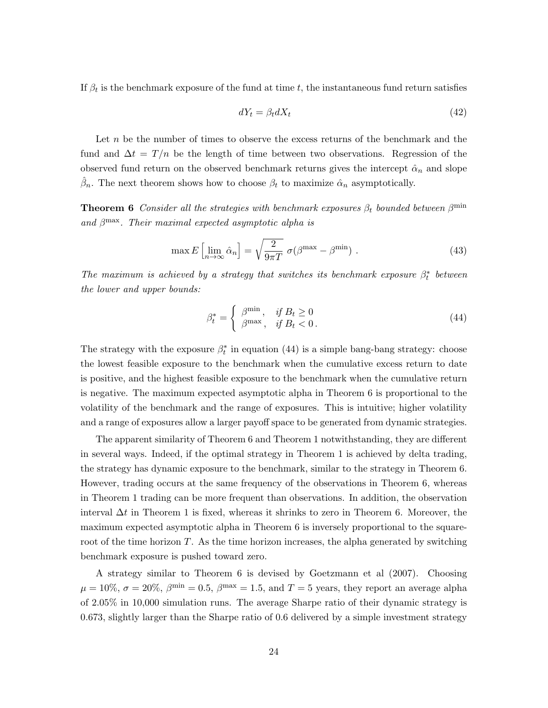If  $\beta_t$  is the benchmark exposure of the fund at time t, the instantaneous fund return satisfies

$$
dY_t = \beta_t dX_t \tag{42}
$$

Let  $n$  be the number of times to observe the excess returns of the benchmark and the fund and  $\Delta t = T/n$  be the length of time between two observations. Regression of the observed fund return on the observed benchmark returns gives the intercept  $\hat{\alpha}_n$  and slope  $\hat{\beta}_n$ . The next theorem shows how to choose  $\beta_t$  to maximize  $\hat{\alpha}_n$  asymptotically.

**Theorem 6** Consider all the strategies with benchmark exposures  $\beta_t$  bounded between  $\beta^{\min}$ and  $\beta^{\text{max}}$ . Their maximal expected asymptotic alpha is

$$
\max E\left[\lim_{n\to\infty}\hat{\alpha}_n\right] = \sqrt{\frac{2}{9\pi T}}\ \sigma(\beta^{\max} - \beta^{\min})\ . \tag{43}
$$

The maximum is achieved by a strategy that switches its benchmark exposure  $\beta_t^*$  between the lower and upper bounds:

$$
\beta_t^* = \begin{cases} \beta^{\min}, & \text{if } B_t \ge 0 \\ \beta^{\max}, & \text{if } B_t < 0. \end{cases}
$$
 (44)

The strategy with the exposure  $\beta_t^*$  in equation (44) is a simple bang-bang strategy: choose the lowest feasible exposure to the benchmark when the cumulative excess return to date is positive, and the highest feasible exposure to the benchmark when the cumulative return is negative. The maximum expected asymptotic alpha in Theorem 6 is proportional to the volatility of the benchmark and the range of exposures. This is intuitive; higher volatility and a range of exposures allow a larger payoff space to be generated from dynamic strategies.

The apparent similarity of Theorem 6 and Theorem 1 notwithstanding, they are different in several ways. Indeed, if the optimal strategy in Theorem 1 is achieved by delta trading, the strategy has dynamic exposure to the benchmark, similar to the strategy in Theorem 6. However, trading occurs at the same frequency of the observations in Theorem 6, whereas in Theorem 1 trading can be more frequent than observations. In addition, the observation interval  $\Delta t$  in Theorem 1 is fixed, whereas it shrinks to zero in Theorem 6. Moreover, the maximum expected asymptotic alpha in Theorem 6 is inversely proportional to the squareroot of the time horizon  $T$ . As the time horizon increases, the alpha generated by switching benchmark exposure is pushed toward zero.

A strategy similar to Theorem 6 is devised by Goetzmann et al (2007). Choosing  $\mu = 10\%, \sigma = 20\%, \beta^{\text{min}} = 0.5, \beta^{\text{max}} = 1.5, \text{ and } T = 5 \text{ years, they report an average alpha}$ of 2.05% in 10,000 simulation runs. The average Sharpe ratio of their dynamic strategy is 0.673, slightly larger than the Sharpe ratio of 0.6 delivered by a simple investment strategy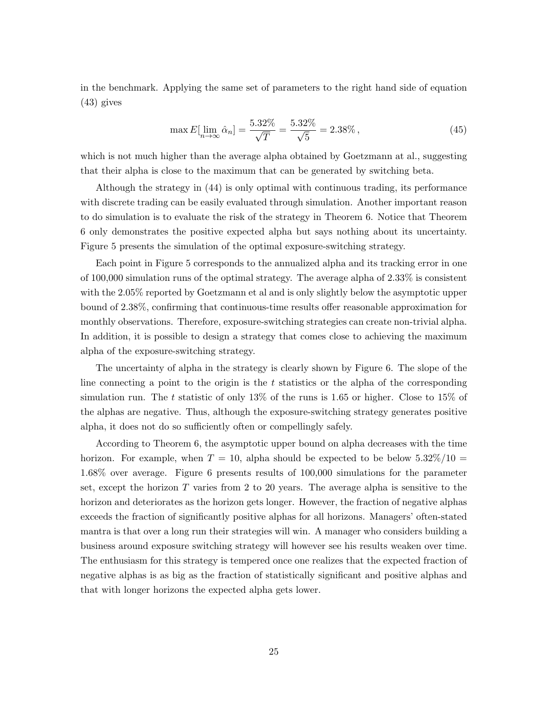in the benchmark. Applying the same set of parameters to the right hand side of equation (43) gives

$$
\max E[\lim_{n \to \infty} \hat{\alpha}_n] = \frac{5.32\%}{\sqrt{T}} = \frac{5.32\%}{\sqrt{5}} = 2.38\%,\tag{45}
$$

which is not much higher than the average alpha obtained by Goetzmann at al., suggesting that their alpha is close to the maximum that can be generated by switching beta.

Although the strategy in (44) is only optimal with continuous trading, its performance with discrete trading can be easily evaluated through simulation. Another important reason to do simulation is to evaluate the risk of the strategy in Theorem 6. Notice that Theorem 6 only demonstrates the positive expected alpha but says nothing about its uncertainty. Figure 5 presents the simulation of the optimal exposure-switching strategy.

Each point in Figure 5 corresponds to the annualized alpha and its tracking error in one of 100,000 simulation runs of the optimal strategy. The average alpha of 2.33% is consistent with the 2.05% reported by Goetzmann et al and is only slightly below the asymptotic upper bound of 2.38%, confirming that continuous-time results offer reasonable approximation for monthly observations. Therefore, exposure-switching strategies can create non-trivial alpha. In addition, it is possible to design a strategy that comes close to achieving the maximum alpha of the exposure-switching strategy.

The uncertainty of alpha in the strategy is clearly shown by Figure 6. The slope of the line connecting a point to the origin is the  $t$  statistics or the alpha of the corresponding simulation run. The t statistic of only 13% of the runs is 1.65 or higher. Close to 15% of the alphas are negative. Thus, although the exposure-switching strategy generates positive alpha, it does not do so sufficiently often or compellingly safely.

According to Theorem 6, the asymptotic upper bound on alpha decreases with the time horizon. For example, when  $T = 10$ , alpha should be expected to be below  $5.32\%/10 =$ 1.68% over average. Figure 6 presents results of 100,000 simulations for the parameter set, except the horizon T varies from 2 to 20 years. The average alpha is sensitive to the horizon and deteriorates as the horizon gets longer. However, the fraction of negative alphas exceeds the fraction of significantly positive alphas for all horizons. Managers' often-stated mantra is that over a long run their strategies will win. A manager who considers building a business around exposure switching strategy will however see his results weaken over time. The enthusiasm for this strategy is tempered once one realizes that the expected fraction of negative alphas is as big as the fraction of statistically significant and positive alphas and that with longer horizons the expected alpha gets lower.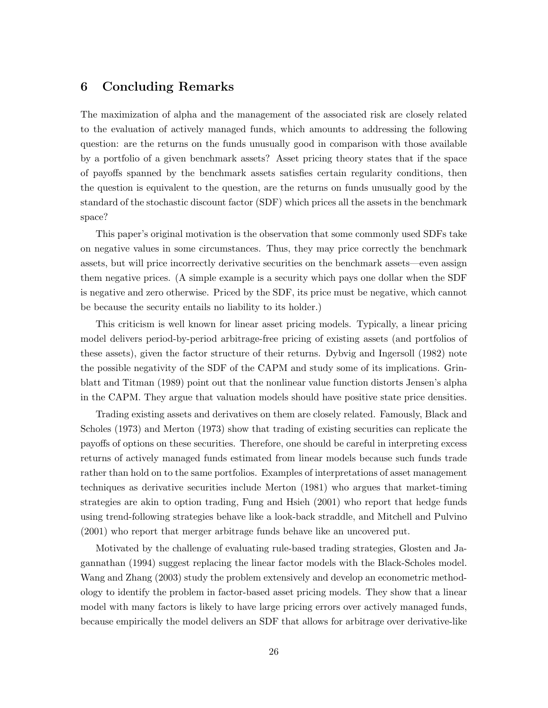## 6 Concluding Remarks

The maximization of alpha and the management of the associated risk are closely related to the evaluation of actively managed funds, which amounts to addressing the following question: are the returns on the funds unusually good in comparison with those available by a portfolio of a given benchmark assets? Asset pricing theory states that if the space of payoffs spanned by the benchmark assets satisfies certain regularity conditions, then the question is equivalent to the question, are the returns on funds unusually good by the standard of the stochastic discount factor (SDF) which prices all the assets in the benchmark space?

This paper's original motivation is the observation that some commonly used SDFs take on negative values in some circumstances. Thus, they may price correctly the benchmark assets, but will price incorrectly derivative securities on the benchmark assets—even assign them negative prices. (A simple example is a security which pays one dollar when the SDF is negative and zero otherwise. Priced by the SDF, its price must be negative, which cannot be because the security entails no liability to its holder.)

This criticism is well known for linear asset pricing models. Typically, a linear pricing model delivers period-by-period arbitrage-free pricing of existing assets (and portfolios of these assets), given the factor structure of their returns. Dybvig and Ingersoll (1982) note the possible negativity of the SDF of the CAPM and study some of its implications. Grinblatt and Titman (1989) point out that the nonlinear value function distorts Jensen's alpha in the CAPM. They argue that valuation models should have positive state price densities.

Trading existing assets and derivatives on them are closely related. Famously, Black and Scholes (1973) and Merton (1973) show that trading of existing securities can replicate the payoffs of options on these securities. Therefore, one should be careful in interpreting excess returns of actively managed funds estimated from linear models because such funds trade rather than hold on to the same portfolios. Examples of interpretations of asset management techniques as derivative securities include Merton (1981) who argues that market-timing strategies are akin to option trading, Fung and Hsieh (2001) who report that hedge funds using trend-following strategies behave like a look-back straddle, and Mitchell and Pulvino (2001) who report that merger arbitrage funds behave like an uncovered put.

Motivated by the challenge of evaluating rule-based trading strategies, Glosten and Jagannathan (1994) suggest replacing the linear factor models with the Black-Scholes model. Wang and Zhang (2003) study the problem extensively and develop an econometric methodology to identify the problem in factor-based asset pricing models. They show that a linear model with many factors is likely to have large pricing errors over actively managed funds, because empirically the model delivers an SDF that allows for arbitrage over derivative-like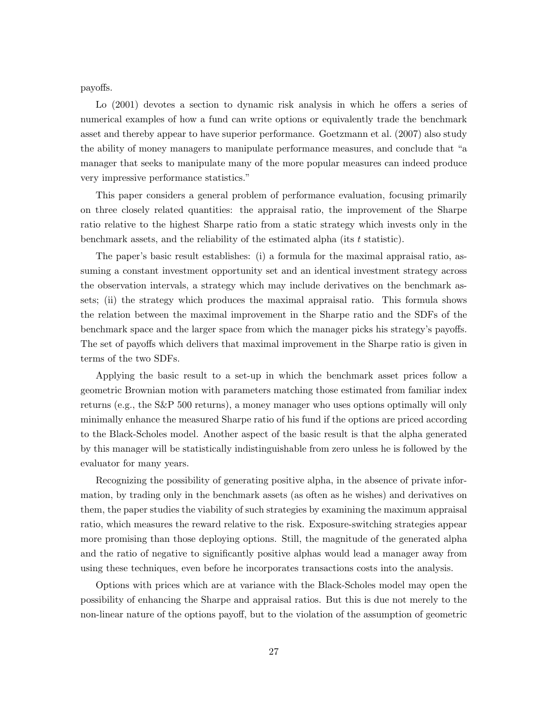payoffs.

Lo (2001) devotes a section to dynamic risk analysis in which he offers a series of numerical examples of how a fund can write options or equivalently trade the benchmark asset and thereby appear to have superior performance. Goetzmann et al. (2007) also study the ability of money managers to manipulate performance measures, and conclude that "a manager that seeks to manipulate many of the more popular measures can indeed produce very impressive performance statistics."

This paper considers a general problem of performance evaluation, focusing primarily on three closely related quantities: the appraisal ratio, the improvement of the Sharpe ratio relative to the highest Sharpe ratio from a static strategy which invests only in the benchmark assets, and the reliability of the estimated alpha (its t statistic).

The paper's basic result establishes: (i) a formula for the maximal appraisal ratio, assuming a constant investment opportunity set and an identical investment strategy across the observation intervals, a strategy which may include derivatives on the benchmark assets; (ii) the strategy which produces the maximal appraisal ratio. This formula shows the relation between the maximal improvement in the Sharpe ratio and the SDFs of the benchmark space and the larger space from which the manager picks his strategy's payoffs. The set of payoffs which delivers that maximal improvement in the Sharpe ratio is given in terms of the two SDFs.

Applying the basic result to a set-up in which the benchmark asset prices follow a geometric Brownian motion with parameters matching those estimated from familiar index returns (e.g., the S&P 500 returns), a money manager who uses options optimally will only minimally enhance the measured Sharpe ratio of his fund if the options are priced according to the Black-Scholes model. Another aspect of the basic result is that the alpha generated by this manager will be statistically indistinguishable from zero unless he is followed by the evaluator for many years.

Recognizing the possibility of generating positive alpha, in the absence of private information, by trading only in the benchmark assets (as often as he wishes) and derivatives on them, the paper studies the viability of such strategies by examining the maximum appraisal ratio, which measures the reward relative to the risk. Exposure-switching strategies appear more promising than those deploying options. Still, the magnitude of the generated alpha and the ratio of negative to significantly positive alphas would lead a manager away from using these techniques, even before he incorporates transactions costs into the analysis.

Options with prices which are at variance with the Black-Scholes model may open the possibility of enhancing the Sharpe and appraisal ratios. But this is due not merely to the non-linear nature of the options payoff, but to the violation of the assumption of geometric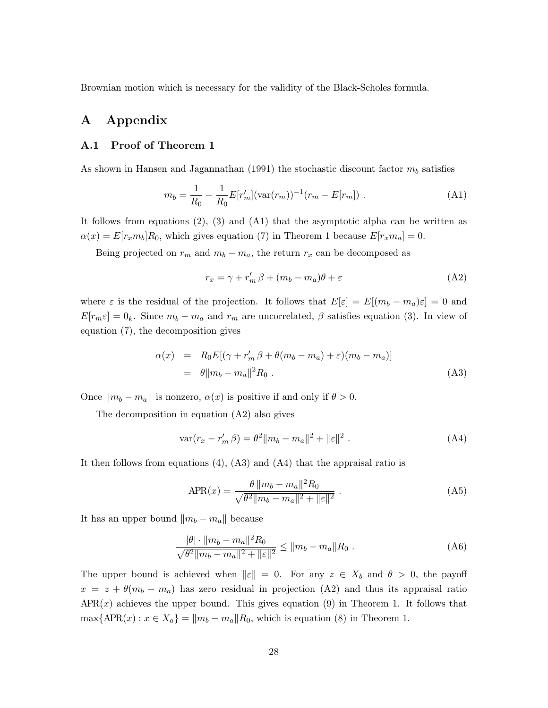Brownian motion which is necessary for the validity of the Black-Scholes formula.

## A Appendix

### A.1 Proof of Theorem 1

As shown in Hansen and Jagannathan (1991) the stochastic discount factor  $m_b$  satisfies

$$
m_b = \frac{1}{R_0} - \frac{1}{R_0} E[r'_m](\text{var}(r_m))^{-1}(r_m - E[r_m]) . \tag{A1}
$$

It follows from equations (2), (3) and (A1) that the asymptotic alpha can be written as  $\alpha(x) = E[r_xm_b]R_0$ , which gives equation (7) in Theorem 1 because  $E[r_xm_a] = 0$ .

Being projected on  $r_m$  and  $m_b - m_a$ , the return  $r_x$  can be decomposed as

$$
r_x = \gamma + r'_m \beta + (m_b - m_a)\theta + \varepsilon \tag{A2}
$$

where  $\varepsilon$  is the residual of the projection. It follows that  $E[\varepsilon] = E[(m_b - m_a)\varepsilon] = 0$  and  $E[r_m \varepsilon] = 0_k$ . Since  $m_b - m_a$  and  $r_m$  are uncorrelated,  $\beta$  satisfies equation (3). In view of equation (7), the decomposition gives

$$
\alpha(x) = R_0 E[(\gamma + r'_m \beta + \theta(m_b - m_a) + \varepsilon)(m_b - m_a)]
$$
  
=  $\theta ||m_b - m_a||^2 R_0$ . (A3)

Once  $\|m_b - m_a\|$  is nonzero,  $\alpha(x)$  is positive if and only if  $\theta > 0$ .

The decomposition in equation (A2) also gives

$$
\text{var}(r_x - r'_m \beta) = \theta^2 \|m_b - m_a\|^2 + \|\varepsilon\|^2. \tag{A4}
$$

It then follows from equations (4), (A3) and (A4) that the appraisal ratio is

$$
APR(x) = \frac{\theta \, ||m_b - m_a||^2 R_0}{\sqrt{\theta^2 ||m_b - m_a||^2 + ||\varepsilon||^2}} \,. \tag{A5}
$$

It has an upper bound  $\|m_b - m_a\|$  because

$$
\frac{|\theta| \cdot \|m_b - m_a\|^2 R_0}{\sqrt{\theta^2 \|m_b - m_a\|^2 + \|\varepsilon\|^2}} \le \|m_b - m_a\| R_0.
$$
 (A6)

The upper bound is achieved when  $||\varepsilon|| = 0$ . For any  $z \in X_b$  and  $\theta > 0$ , the payoff  $x = z + \theta(m_b - m_a)$  has zero residual in projection (A2) and thus its appraisal ratio  $APR(x)$  achieves the upper bound. This gives equation (9) in Theorem 1. It follows that  $\max\{\text{APR}(x): x \in X_a\} = ||m_b - m_a||R_0$ , which is equation (8) in Theorem 1.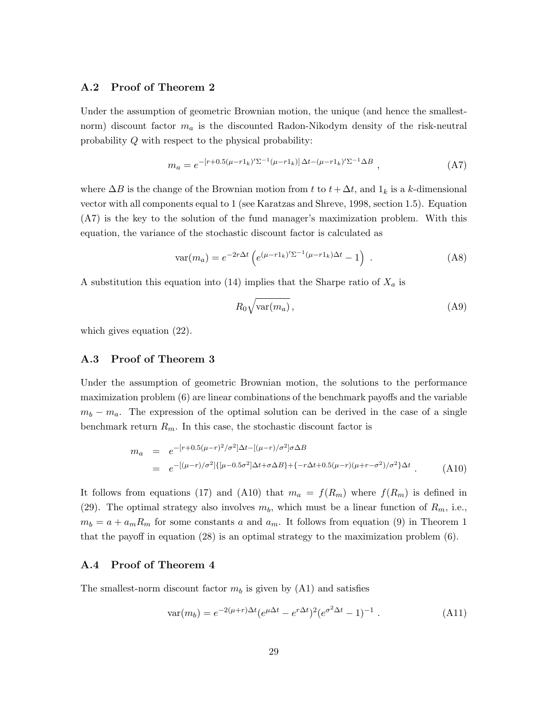### A.2 Proof of Theorem 2

Under the assumption of geometric Brownian motion, the unique (and hence the smallestnorm) discount factor  $m_a$  is the discounted Radon-Nikodym density of the risk-neutral probability Q with respect to the physical probability:

$$
m_a = e^{-\left[r+0.5(\mu - r_{1k})\right]\sum^{-1}(\mu - r_{1k})\right]\Delta t - (\mu - r_{1k})\sum^{-1}\Delta B}, \qquad (A7)
$$

where  $\Delta B$  is the change of the Brownian motion from t to  $t + \Delta t$ , and  $1_k$  is a k-dimensional vector with all components equal to 1 (see Karatzas and Shreve, 1998, section 1.5). Equation (A7) is the key to the solution of the fund manager's maximization problem. With this equation, the variance of the stochastic discount factor is calculated as

$$
\text{var}(m_a) = e^{-2r\Delta t} \left( e^{(\mu - r\mathbf{1}_k)'\Sigma^{-1}(\mu - r\mathbf{1}_k)\Delta t} - 1 \right) \tag{A8}
$$

A substitution this equation into (14) implies that the Sharpe ratio of  $X_a$  is

$$
R_0\sqrt{\text{var}(m_a)},\tag{A9}
$$

which gives equation (22).

### A.3 Proof of Theorem 3

Under the assumption of geometric Brownian motion, the solutions to the performance maximization problem (6) are linear combinations of the benchmark payoffs and the variable  $m_b - m_a$ . The expression of the optimal solution can be derived in the case of a single benchmark return  $R_m$ . In this case, the stochastic discount factor is

$$
m_a = e^{-[r+0.5(\mu-r)^2/\sigma^2]\Delta t - [(\mu-r)/\sigma^2]\sigma\Delta B}
$$
  
= 
$$
e^{-[(\mu-r)/\sigma^2]\{[\mu-0.5\sigma^2]\Delta t + \sigma\Delta B\} + \{-r\Delta t + 0.5(\mu-r)(\mu+r-\sigma^2)/\sigma^2\}\Delta t}
$$
. (A10)

It follows from equations (17) and (A10) that  $m_a = f(R_m)$  where  $f(R_m)$  is defined in (29). The optimal strategy also involves  $m_b$ , which must be a linear function of  $R_m$ , i.e.,  $m_b = a + a_m R_m$  for some constants a and  $a_m$ . It follows from equation (9) in Theorem 1 that the payoff in equation  $(28)$  is an optimal strategy to the maximization problem  $(6)$ .

### A.4 Proof of Theorem 4

The smallest-norm discount factor  $m_b$  is given by  $(A1)$  and satisfies

$$
var(m_b) = e^{-2(\mu+r)\Delta t} (e^{\mu\Delta t} - e^{r\Delta t})^2 (e^{\sigma^2\Delta t} - 1)^{-1} . \tag{A11}
$$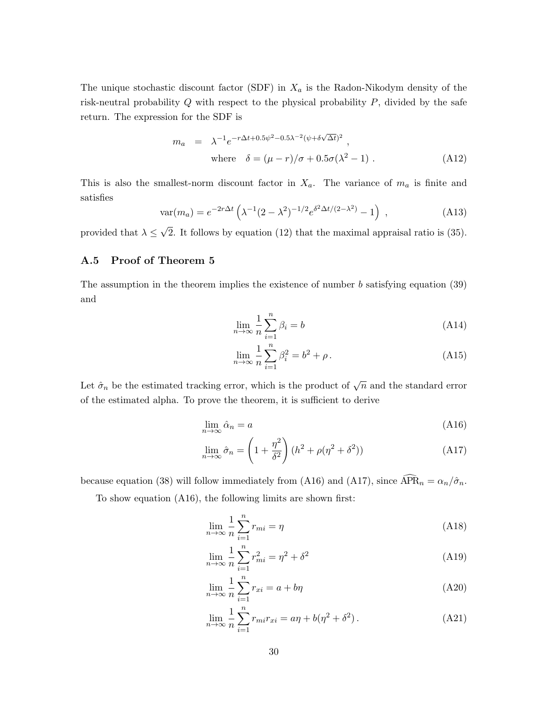The unique stochastic discount factor (SDF) in  $X_a$  is the Radon-Nikodym density of the risk-neutral probability  $Q$  with respect to the physical probability  $P$ , divided by the safe return. The expression for the SDF is

$$
m_a = \lambda^{-1} e^{-r\Delta t + 0.5\psi^2 - 0.5\lambda^{-2}(\psi + \delta\sqrt{\Delta t})^2},
$$
  
where  $\delta = (\mu - r)/\sigma + 0.5\sigma(\lambda^2 - 1)$ . (A12)

This is also the smallest-norm discount factor in  $X_a$ . The variance of  $m_a$  is finite and satisfies

$$
\text{var}(m_a) = e^{-2r\Delta t} \left( \lambda^{-1} (2 - \lambda^2)^{-1/2} e^{\delta^2 \Delta t / (2 - \lambda^2)} - 1 \right) , \tag{A13}
$$

provided that  $\lambda \leq$ 2. It follows by equation (12) that the maximal appraisal ratio is (35).

## A.5 Proof of Theorem 5

The assumption in the theorem implies the existence of number  $b$  satisfying equation (39) and

$$
\lim_{n \to \infty} \frac{1}{n} \sum_{i=1}^{n} \beta_i = b \tag{A14}
$$

$$
\lim_{n \to \infty} \frac{1}{n} \sum_{i=1}^{n} \beta_i^2 = b^2 + \rho.
$$
 (A15)

Let  $\hat{\sigma}_n$  be the estimated tracking error, which is the product of  $\sqrt{n}$  and the standard error of the estimated alpha. To prove the theorem, it is sufficient to derive

$$
\lim_{n \to \infty} \hat{\alpha}_n = a \tag{A16}
$$

$$
\lim_{n \to \infty} \hat{\sigma}_n = \left( 1 + \frac{\eta^2}{\delta^2} \right) (h^2 + \rho (\eta^2 + \delta^2)) \tag{A17}
$$

because equation (38) will follow immediately from (A16) and (A17), since  $\widehat{APR}_n = \alpha_n/\hat{\sigma}_n$ .

To show equation (A16), the following limits are shown first:

$$
\lim_{n \to \infty} \frac{1}{n} \sum_{i=1}^{n} r_{mi} = \eta \tag{A18}
$$

$$
\lim_{n \to \infty} \frac{1}{n} \sum_{i=1}^{n} r_{mi}^2 = \eta^2 + \delta^2
$$
\n(A19)

$$
\lim_{n \to \infty} \frac{1}{n} \sum_{i=1}^{n} r_{xi} = a + b\eta
$$
\n(A20)

$$
\lim_{n \to \infty} \frac{1}{n} \sum_{i=1}^{n} r_{mi} r_{xi} = a\eta + b(\eta^2 + \delta^2).
$$
 (A21)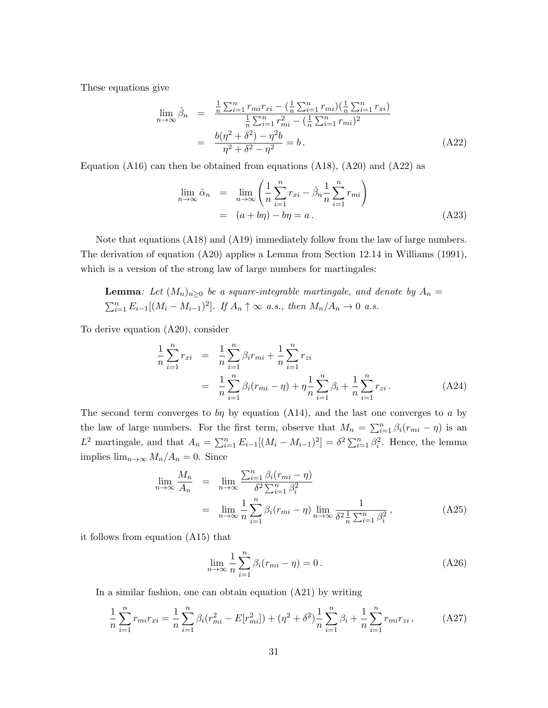These equations give

$$
\lim_{n \to \infty} \hat{\beta}_n = \frac{\frac{1}{n} \sum_{i=1}^n r_{mi} r_{xi} - (\frac{1}{n} \sum_{i=1}^n r_{mi})(\frac{1}{n} \sum_{i=1}^n r_{xi})}{\frac{1}{n} \sum_{i=1}^n r_{mi}^2 - (\frac{1}{n} \sum_{i=1}^n r_{mi})^2}
$$
\n
$$
= \frac{b(\eta^2 + \delta^2) - \eta^2 b}{\eta^2 + \delta^2 - \eta^2} = b. \tag{A22}
$$

Equation  $(A16)$  can then be obtained from equations  $(A18)$ ,  $(A20)$  and  $(A22)$  as

$$
\lim_{n \to \infty} \hat{\alpha}_n = \lim_{n \to \infty} \left( \frac{1}{n} \sum_{i=1}^n r_{xi} - \hat{\beta}_n \frac{1}{n} \sum_{i=1}^n r_{mi} \right)
$$

$$
= (a + b\eta) - b\eta = a.
$$
(A23)

Note that equations (A18) and (A19) immediately follow from the law of large numbers. The derivation of equation (A20) applies a Lemma from Section 12.14 in Williams (1991), which is a version of the strong law of large numbers for martingales:

**Lemma:** Let 
$$
(M_n)_{n\geq 0}
$$
 be a square-integrable martingale, and denote by  $A_n = \sum_{i=1}^n E_{i-1}[(M_i - M_{i-1})^2]$ . If  $A_n \uparrow \infty$  a.s., then  $M_n/A_n \to 0$  a.s.

To derive equation (A20), consider

$$
\frac{1}{n}\sum_{i=1}^{n}r_{xi} = \frac{1}{n}\sum_{i=1}^{n}\beta_{i}r_{mi} + \frac{1}{n}\sum_{i=1}^{n}r_{zi}
$$
\n
$$
= \frac{1}{n}\sum_{i=1}^{n}\beta_{i}(r_{mi} - \eta) + \eta\frac{1}{n}\sum_{i=1}^{n}\beta_{i} + \frac{1}{n}\sum_{i=1}^{n}r_{zi}. \tag{A24}
$$

The second term converges to  $b\eta$  by equation (A14), and the last one converges to a by the law of large numbers. For the first term, observe that  $M_n = \sum_{i=1}^n \beta_i (r_{mi} - \eta)$  is an  $L^2$  martingale, and that  $A_n = \sum_{i=1}^n E_{i-1}[(M_i - M_{i-1})^2] = \delta^2 \sum_{i=1}^n \beta_i^2$ . Hence, the lemma implies  $\lim_{n\to\infty} M_n/A_n = 0$ . Since

$$
\lim_{n \to \infty} \frac{M_n}{A_n} = \lim_{n \to \infty} \frac{\sum_{i=1}^n \beta_i (r_{mi} - \eta)}{\delta^2 \sum_{i=1}^n \beta_i^2}
$$
\n
$$
= \lim_{n \to \infty} \frac{1}{n} \sum_{i=1}^n \beta_i (r_{mi} - \eta) \lim_{n \to \infty} \frac{1}{\delta^2 \frac{1}{n} \sum_{i=1}^n \beta_i^2},
$$
\n(A25)

it follows from equation (A15) that

$$
\lim_{n \to \infty} \frac{1}{n} \sum_{i=1}^{n} \beta_i (r_{mi} - \eta) = 0.
$$
\n(A26)

In a similar fashion, one can obtain equation (A21) by writing

$$
\frac{1}{n}\sum_{i=1}^{n} r_{mi} r_{xi} = \frac{1}{n}\sum_{i=1}^{n} \beta_i (r_{mi}^2 - E[r_{mi}^2]) + (\eta^2 + \delta^2) \frac{1}{n}\sum_{i=1}^{n} \beta_i + \frac{1}{n}\sum_{i=1}^{n} r_{mi} r_{zi},
$$
(A27)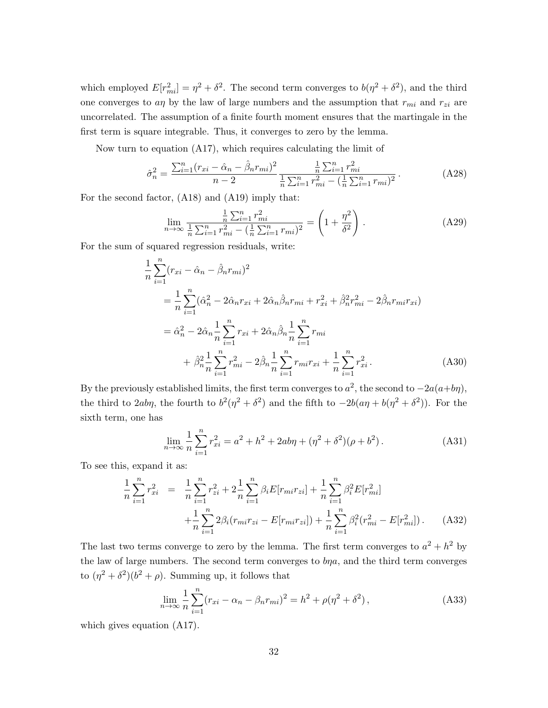which employed  $E[r_{mi}^2] = \eta^2 + \delta^2$ . The second term converges to  $b(\eta^2 + \delta^2)$ , and the third one converges to an by the law of large numbers and the assumption that  $r_{mi}$  and  $r_{zi}$  are uncorrelated. The assumption of a finite fourth moment ensures that the martingale in the first term is square integrable. Thus, it converges to zero by the lemma.

Now turn to equation (A17), which requires calculating the limit of

$$
\hat{\sigma}_n^2 = \frac{\sum_{i=1}^n (r_{xi} - \hat{\alpha}_n - \hat{\beta}_n r_{mi})^2}{n-2} \frac{\frac{1}{n} \sum_{i=1}^n r_{mi}^2}{\frac{1}{n} \sum_{i=1}^n r_{mi}^2 - (\frac{1}{n} \sum_{i=1}^n r_{mi})^2} \,. \tag{A28}
$$

For the second factor, (A18) and (A19) imply that:

$$
\lim_{n \to \infty} \frac{\frac{1}{n} \sum_{i=1}^{n} r_{mi}^2}{\frac{1}{n} \sum_{i=1}^{n} r_{mi}^2 - (\frac{1}{n} \sum_{i=1}^{n} r_{mi})^2} = \left(1 + \frac{\eta^2}{\delta^2}\right). \tag{A29}
$$

For the sum of squared regression residuals, write:

$$
\frac{1}{n} \sum_{i=1}^{n} (r_{xi} - \hat{\alpha}_n - \hat{\beta}_n r_{mi})^2
$$
\n
$$
= \frac{1}{n} \sum_{i=1}^{n} (\hat{\alpha}_n^2 - 2\hat{\alpha}_n r_{xi} + 2\hat{\alpha}_n \hat{\beta}_n r_{mi} + r_{xi}^2 + \hat{\beta}_n^2 r_{mi}^2 - 2\hat{\beta}_n r_{mi} r_{xi})
$$
\n
$$
= \hat{\alpha}_n^2 - 2\hat{\alpha}_n \frac{1}{n} \sum_{i=1}^{n} r_{xi} + 2\hat{\alpha}_n \hat{\beta}_n \frac{1}{n} \sum_{i=1}^{n} r_{mi}
$$
\n
$$
+ \hat{\beta}_n^2 \frac{1}{n} \sum_{i=1}^{n} r_{mi}^2 - 2\hat{\beta}_n \frac{1}{n} \sum_{i=1}^{n} r_{mi} r_{xi} + \frac{1}{n} \sum_{i=1}^{n} r_{xi}^2.
$$
\n(A30)

By the previously established limits, the first term converges to  $a^2$ , the second to  $-2a(a+b\eta)$ , the third to  $2ab\eta$ , the fourth to  $b^2(\eta^2 + \delta^2)$  and the fifth to  $-2b(a\eta + b(\eta^2 + \delta^2))$ . For the sixth term, one has

$$
\lim_{n \to \infty} \frac{1}{n} \sum_{i=1}^{n} r_{xi}^{2} = a^{2} + h^{2} + 2ab\eta + (\eta^{2} + \delta^{2})(\rho + b^{2}). \tag{A31}
$$

To see this, expand it as:

$$
\frac{1}{n}\sum_{i=1}^{n}r_{xi}^{2} = \frac{1}{n}\sum_{i=1}^{n}r_{zi}^{2} + 2\frac{1}{n}\sum_{i=1}^{n}\beta_{i}E[r_{mi}r_{zi}] + \frac{1}{n}\sum_{i=1}^{n}\beta_{i}^{2}E[r_{mi}^{2}] + \frac{1}{n}\sum_{i=1}^{n}2\beta_{i}(r_{mi}r_{zi} - E[r_{mi}r_{zi}]) + \frac{1}{n}\sum_{i=1}^{n}\beta_{i}^{2}(r_{mi}^{2} - E[r_{mi}^{2}]).
$$
\n(A32)

The last two terms converge to zero by the lemma. The first term converges to  $a^2 + h^2$  by the law of large numbers. The second term converges to  $b<sub>n</sub>a$ , and the third term converges to  $(\eta^2 + \delta^2)(b^2 + \rho)$ . Summing up, it follows that

$$
\lim_{n \to \infty} \frac{1}{n} \sum_{i=1}^{n} (r_{xi} - \alpha_n - \beta_n r_{mi})^2 = h^2 + \rho(\eta^2 + \delta^2), \tag{A33}
$$

which gives equation (A17).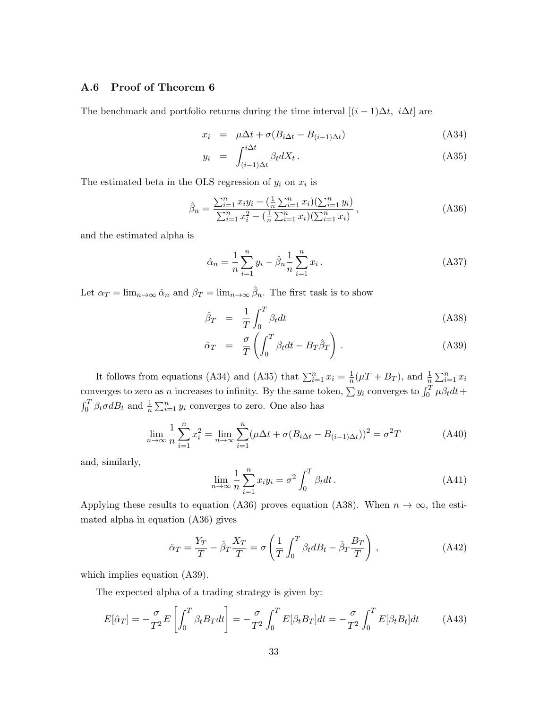### A.6 Proof of Theorem 6

The benchmark and portfolio returns during the time interval  $[(i-1)\Delta t, i\Delta t]$  are

$$
x_i = \mu \Delta t + \sigma (B_{i\Delta t} - B_{(i-1)\Delta t}) \tag{A34}
$$

$$
y_i = \int_{(i-1)\Delta t}^{i\Delta t} \beta_t dX_t.
$$
 (A35)

The estimated beta in the OLS regression of  $y_i$  on  $x_i$  is

$$
\hat{\beta}_n = \frac{\sum_{i=1}^n x_i y_i - (\frac{1}{n} \sum_{i=1}^n x_i)(\sum_{i=1}^n y_i)}{\sum_{i=1}^n x_i^2 - (\frac{1}{n} \sum_{i=1}^n x_i)(\sum_{i=1}^n x_i)},
$$
\n(A36)

and the estimated alpha is

$$
\hat{\alpha}_n = \frac{1}{n} \sum_{i=1}^n y_i - \hat{\beta}_n \frac{1}{n} \sum_{i=1}^n x_i.
$$
\n(A37)

Let  $\alpha_T = \lim_{n \to \infty} \hat{\alpha}_n$  and  $\beta_T = \lim_{n \to \infty} \hat{\beta}_n$ . The first task is to show

$$
\hat{\beta}_T = \frac{1}{T} \int_0^T \beta_t dt \tag{A38}
$$

$$
\hat{\alpha}_T = \frac{\sigma}{T} \left( \int_0^T \beta_t dt - B_T \hat{\beta}_T \right). \tag{A39}
$$

It follows from equations (A34) and (A35) that  $\sum_{i=1}^{n} x_i = \frac{1}{n}$  $\frac{1}{n}(\mu T + B_T)$ , and  $\frac{1}{n}\sum_{i=1}^n x_i$ converges to zero as n increases to infinity. By the same token,  $\sum y_i$  converges to  $\int_0^T \mu \beta_t dt +$  $\int_0^T \beta_t \sigma dB_t$  and  $\frac{1}{n} \sum_{i=1}^n y_i$  converges to zero. One also has

$$
\lim_{n \to \infty} \frac{1}{n} \sum_{i=1}^{n} x_i^2 = \lim_{n \to \infty} \sum_{i=1}^{n} (\mu \Delta t + \sigma (B_{i\Delta t} - B_{(i-1)\Delta t}))^2 = \sigma^2 T
$$
 (A40)

and, similarly,

$$
\lim_{n \to \infty} \frac{1}{n} \sum_{i=1}^{n} x_i y_i = \sigma^2 \int_0^T \beta_t dt.
$$
 (A41)

Applying these results to equation (A36) proves equation (A38). When  $n \to \infty$ , the estimated alpha in equation (A36) gives

$$
\hat{\alpha}_T = \frac{Y_T}{T} - \hat{\beta}_T \frac{X_T}{T} = \sigma \left( \frac{1}{T} \int_0^T \beta_t dB_t - \hat{\beta}_T \frac{B_T}{T} \right), \tag{A42}
$$

which implies equation (A39).

The expected alpha of a trading strategy is given by:

$$
E[\hat{\alpha}_T] = -\frac{\sigma}{T^2} E\left[\int_0^T \beta_t B_T dt\right] = -\frac{\sigma}{T^2} \int_0^T E[\beta_t B_T] dt = -\frac{\sigma}{T^2} \int_0^T E[\beta_t B_t] dt \tag{A43}
$$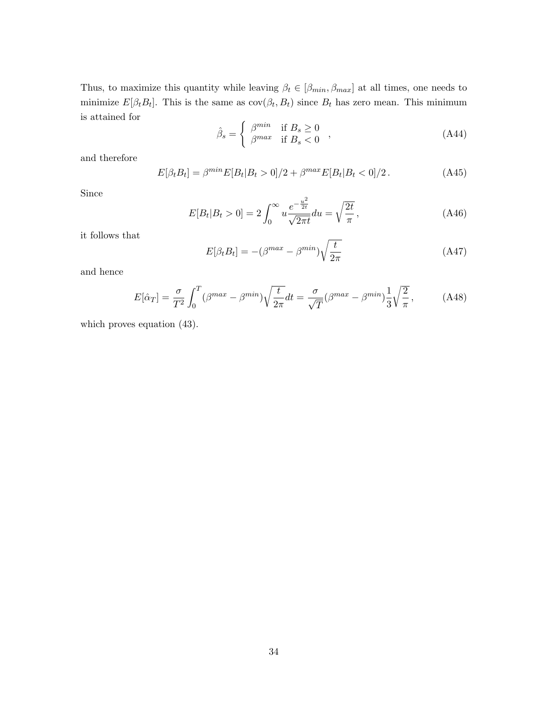Thus, to maximize this quantity while leaving  $\beta_t \in [\beta_{min}, \beta_{max}]$  at all times, one needs to minimize  $E[\beta_t B_t]$ . This is the same as  $cov(\beta_t, B_t)$  since  $B_t$  has zero mean. This minimum is attained for

$$
\hat{\beta}_s = \begin{cases} \beta^{min} & \text{if } B_s \ge 0 \\ \beta^{max} & \text{if } B_s < 0 \end{cases}, \tag{A44}
$$

and therefore

$$
E[\beta_t B_t] = \beta^{min} E[B_t | B_t > 0] / 2 + \beta^{max} E[B_t | B_t < 0] / 2.
$$
 (A45)

Since

$$
E[B_t|B_t > 0] = 2 \int_0^\infty u \frac{e^{-\frac{u^2}{2t}}}{\sqrt{2\pi t}} du = \sqrt{\frac{2t}{\pi}},
$$
\n(A46)

it follows that

$$
E[\beta_t B_t] = -(\beta^{max} - \beta^{min})\sqrt{\frac{t}{2\pi}}
$$
\n(A47)

and hence

$$
E[\hat{\alpha}_T] = \frac{\sigma}{T^2} \int_0^T (\beta^{max} - \beta^{min}) \sqrt{\frac{t}{2\pi}} dt = \frac{\sigma}{\sqrt{T}} (\beta^{max} - \beta^{min}) \frac{1}{3} \sqrt{\frac{2}{\pi}}, \quad (A48)
$$

which proves equation (43).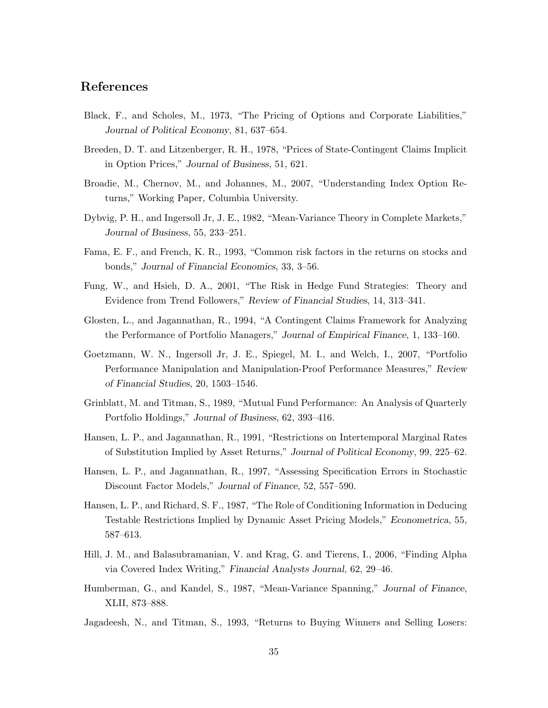## References

- Black, F., and Scholes, M., 1973, "The Pricing of Options and Corporate Liabilities," Journal of Political Economy, 81, 637–654.
- Breeden, D. T. and Litzenberger, R. H., 1978, "Prices of State-Contingent Claims Implicit in Option Prices," Journal of Business, 51, 621.
- Broadie, M., Chernov, M., and Johannes, M., 2007, "Understanding Index Option Returns," Working Paper, Columbia University.
- Dybvig, P. H., and Ingersoll Jr, J. E., 1982, "Mean-Variance Theory in Complete Markets," Journal of Business, 55, 233–251.
- Fama, E. F., and French, K. R., 1993, "Common risk factors in the returns on stocks and bonds," Journal of Financial Economics, 33, 3–56.
- Fung, W., and Hsieh, D. A., 2001, "The Risk in Hedge Fund Strategies: Theory and Evidence from Trend Followers," Review of Financial Studies, 14, 313–341.
- Glosten, L., and Jagannathan, R., 1994, "A Contingent Claims Framework for Analyzing the Performance of Portfolio Managers," Journal of Empirical Finance, 1, 133–160.
- Goetzmann, W. N., Ingersoll Jr, J. E., Spiegel, M. I., and Welch, I., 2007, "Portfolio Performance Manipulation and Manipulation-Proof Performance Measures," Review of Financial Studies, 20, 1503–1546.
- Grinblatt, M. and Titman, S., 1989, "Mutual Fund Performance: An Analysis of Quarterly Portfolio Holdings," Journal of Business, 62, 393–416.
- Hansen, L. P., and Jagannathan, R., 1991, "Restrictions on Intertemporal Marginal Rates of Substitution Implied by Asset Returns," Journal of Political Economy, 99, 225–62.
- Hansen, L. P., and Jagannathan, R., 1997, "Assessing Specification Errors in Stochastic Discount Factor Models," Journal of Finance, 52, 557–590.
- Hansen, L. P., and Richard, S. F., 1987, "The Role of Conditioning Information in Deducing Testable Restrictions Implied by Dynamic Asset Pricing Models," Econometrica, 55, 587–613.
- Hill, J. M., and Balasubramanian, V. and Krag, G. and Tierens, I., 2006, "Finding Alpha via Covered Index Writing," Financial Analysts Journal, 62, 29–46.
- Humberman, G., and Kandel, S., 1987, "Mean-Variance Spanning," Journal of Finance, XLII, 873–888.
- Jagadeesh, N., and Titman, S., 1993, "Returns to Buying Winners and Selling Losers: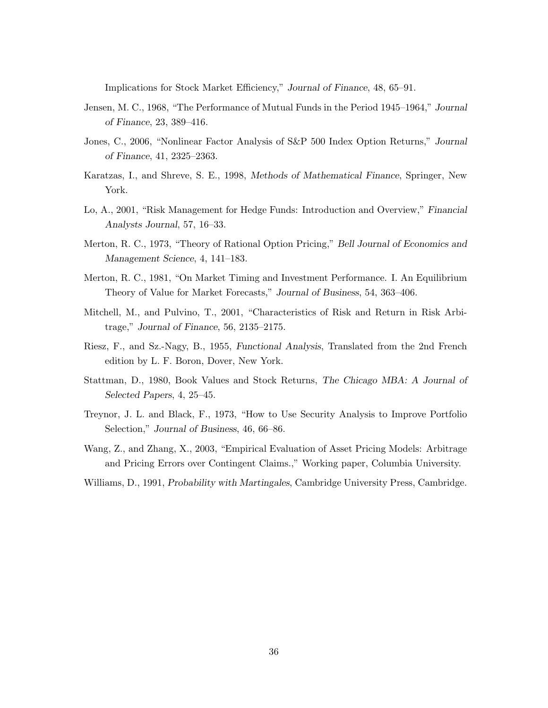Implications for Stock Market Efficiency," Journal of Finance, 48, 65–91.

- Jensen, M. C., 1968, "The Performance of Mutual Funds in the Period 1945–1964," Journal of Finance, 23, 389–416.
- Jones, C., 2006, "Nonlinear Factor Analysis of S&P 500 Index Option Returns," Journal of Finance, 41, 2325–2363.
- Karatzas, I., and Shreve, S. E., 1998, Methods of Mathematical Finance, Springer, New York.
- Lo, A., 2001, "Risk Management for Hedge Funds: Introduction and Overview," Financial Analysts Journal, 57, 16–33.
- Merton, R. C., 1973, "Theory of Rational Option Pricing," Bell Journal of Economics and Management Science, 4, 141–183.
- Merton, R. C., 1981, "On Market Timing and Investment Performance. I. An Equilibrium Theory of Value for Market Forecasts," Journal of Business, 54, 363–406.
- Mitchell, M., and Pulvino, T., 2001, "Characteristics of Risk and Return in Risk Arbitrage," Journal of Finance, 56, 2135–2175.
- Riesz, F., and Sz.-Nagy, B., 1955, Functional Analysis, Translated from the 2nd French edition by L. F. Boron, Dover, New York.
- Stattman, D., 1980, Book Values and Stock Returns, The Chicago MBA: A Journal of Selected Papers, 4, 25–45.
- Treynor, J. L. and Black, F., 1973, "How to Use Security Analysis to Improve Portfolio Selection," Journal of Business, 46, 66–86.
- Wang, Z., and Zhang, X., 2003, "Empirical Evaluation of Asset Pricing Models: Arbitrage and Pricing Errors over Contingent Claims.," Working paper, Columbia University.

Williams, D., 1991, Probability with Martingales, Cambridge University Press, Cambridge.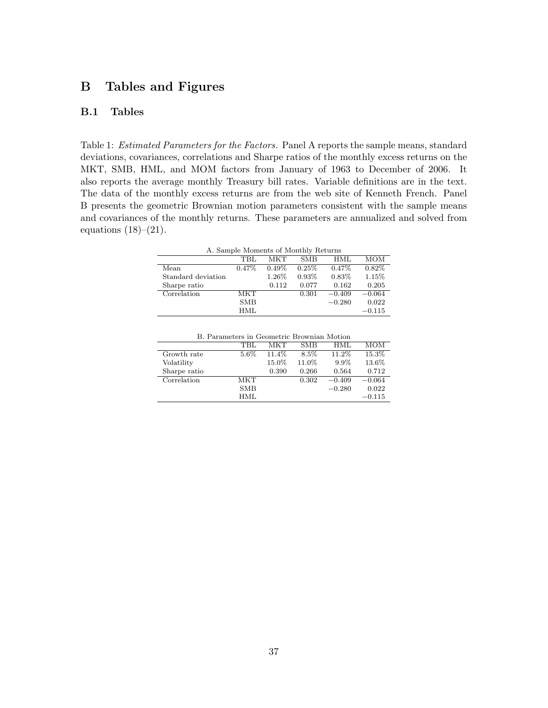## B Tables and Figures

### B.1 Tables

Table 1: *Estimated Parameters for the Factors*. Panel A reports the sample means, standard deviations, covariances, correlations and Sharpe ratios of the monthly excess returns on the MKT, SMB, HML, and MOM factors from January of 1963 to December of 2006. It also reports the average monthly Treasury bill rates. Variable definitions are in the text. The data of the monthly excess returns are from the web site of Kenneth French. Panel B presents the geometric Brownian motion parameters consistent with the sample means and covariances of the monthly returns. These parameters are annualized and solved from equations  $(18)–(21)$ .

A. Sample Moments of Monthly Returns

| A. Sample Moments of Montmy Returns |            |          |            |          |          |  |  |
|-------------------------------------|------------|----------|------------|----------|----------|--|--|
|                                     | TBL        | MKT      | <b>SMB</b> | HML      | MOM      |  |  |
| Mean                                | $0.47\%$   | $0.49\%$ | $0.25\%$   | $0.47\%$ | $0.82\%$ |  |  |
| Standard deviation                  |            | 1.26\%   | 0.93%      | $0.83\%$ | 1.15%    |  |  |
| Sharpe ratio                        |            | 0.112    | 0.077      | 0.162    | 0.205    |  |  |
| Correlation                         | MKT        |          | 0.301      | $-0.409$ | $-0.064$ |  |  |
|                                     | <b>SMB</b> |          |            | $-0.280$ | 0.022    |  |  |
|                                     | HML.       |          |            |          | $-0.115$ |  |  |

| р. ғаташесеті ш стеошестіс ртомшан імостон |       |            |          |          |  |  |  |
|--------------------------------------------|-------|------------|----------|----------|--|--|--|
| <b>TBL</b>                                 | MKT   | <b>SMB</b> | HML      | MOM      |  |  |  |
| $5.6\%$                                    | 11.4% | $8.5\%$    | 11.2%    | 15.3%    |  |  |  |
|                                            | 15.0% | 11.0%      | $9.9\%$  | 13.6%    |  |  |  |
|                                            | 0.390 | 0.266      | 0.564    | 0.712    |  |  |  |
| MKT                                        |       | 0.302      | $-0.409$ | $-0.064$ |  |  |  |
| <b>SMB</b>                                 |       |            | $-0.280$ | 0.022    |  |  |  |
| HML.                                       |       |            |          | $-0.115$ |  |  |  |
|                                            |       |            |          |          |  |  |  |

B. Parameters in Geometric Brownian Motion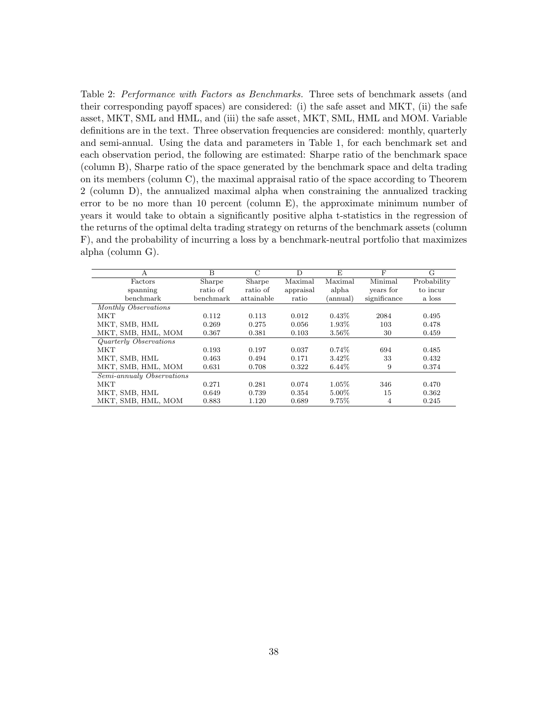Table 2: Performance with Factors as Benchmarks. Three sets of benchmark assets (and their corresponding payoff spaces) are considered: (i) the safe asset and MKT, (ii) the safe asset, MKT, SML and HML, and (iii) the safe asset, MKT, SML, HML and MOM. Variable definitions are in the text. Three observation frequencies are considered: monthly, quarterly and semi-annual. Using the data and parameters in Table 1, for each benchmark set and each observation period, the following are estimated: Sharpe ratio of the benchmark space (column B), Sharpe ratio of the space generated by the benchmark space and delta trading on its members (column C), the maximal appraisal ratio of the space according to Theorem 2 (column D), the annualized maximal alpha when constraining the annualized tracking error to be no more than 10 percent (column E), the approximate minimum number of years it would take to obtain a significantly positive alpha t-statistics in the regression of the returns of the optimal delta trading strategy on returns of the benchmark assets (column F), and the probability of incurring a loss by a benchmark-neutral portfolio that maximizes alpha (column G).

| A                         | B         | C          | D         | E        | F            | G           |
|---------------------------|-----------|------------|-----------|----------|--------------|-------------|
| Factors                   | Sharpe    | Sharpe     | Maximal   | Maximal  | Minimal      | Probability |
| spanning                  | ratio of  | ratio of   | appraisal | alpha    | years for    | to incur    |
| benchmark                 | benchmark | attainable | ratio     | (annual) | significance | a loss      |
| Monthly Observations      |           |            |           |          |              |             |
| <b>MKT</b>                | 0.112     | 0.113      | 0.012     | $0.43\%$ | 2084         | 0.495       |
| MKT, SMB, HML             | 0.269     | 0.275      | 0.056     | 1.93%    | 103          | 0.478       |
| MKT, SMB, HML, MOM        | 0.367     | 0.381      | 0.103     | 3.56%    | 30           | 0.459       |
| Quarterly Observations    |           |            |           |          |              |             |
| <b>MKT</b>                | 0.193     | 0.197      | 0.037     | $0.74\%$ | 694          | 0.485       |
| MKT, SMB, HML             | 0.463     | 0.494      | 0.171     | 3.42\%   | 33           | 0.432       |
| MKT, SMB, HML, MOM        | 0.631     | 0.708      | 0.322     | $6.44\%$ | 9            | 0.374       |
| Semi-annualy Observations |           |            |           |          |              |             |
| <b>MKT</b>                | 0.271     | 0.281      | 0.074     | $1.05\%$ | 346          | 0.470       |
| MKT, SMB, HML             | 0.649     | 0.739      | 0.354     | $5.00\%$ | 15           | 0.362       |
| MKT, SMB, HML, MOM        | 0.883     | 1.120      | 0.689     | 9.75%    | 4            | 0.245       |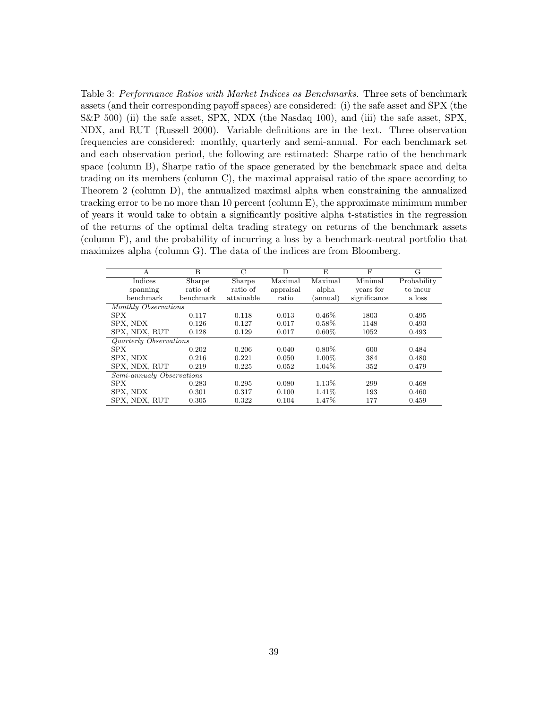Table 3: Performance Ratios with Market Indices as Benchmarks. Three sets of benchmark assets (and their corresponding payoff spaces) are considered: (i) the safe asset and SPX (the S&P 500) (ii) the safe asset, SPX, NDX (the Nasdaq 100), and (iii) the safe asset, SPX, NDX, and RUT (Russell 2000). Variable definitions are in the text. Three observation frequencies are considered: monthly, quarterly and semi-annual. For each benchmark set and each observation period, the following are estimated: Sharpe ratio of the benchmark space (column B), Sharpe ratio of the space generated by the benchmark space and delta trading on its members (column C), the maximal appraisal ratio of the space according to Theorem 2 (column D), the annualized maximal alpha when constraining the annualized tracking error to be no more than 10 percent (column E), the approximate minimum number of years it would take to obtain a significantly positive alpha t-statistics in the regression of the returns of the optimal delta trading strategy on returns of the benchmark assets (column F), and the probability of incurring a loss by a benchmark-neutral portfolio that maximizes alpha (column G). The data of the indices are from Bloomberg.

| A                         | B         | C          | D         | E        | F            | G           |  |
|---------------------------|-----------|------------|-----------|----------|--------------|-------------|--|
| Indices                   | Sharpe    | Sharpe     | Maximal   | Maximal  | Minimal      | Probability |  |
| spanning                  | ratio of  | ratio of   | appraisal | alpha    | years for    | to incur    |  |
| benchmark                 | benchmark | attainable | ratio     | annual)  | significance | a loss      |  |
| Monthly Observations      |           |            |           |          |              |             |  |
| <b>SPX</b>                | 0.117     | 0.118      | 0.013     | 0.46%    | 1803         | 0.495       |  |
| SPX, NDX                  | 0.126     | 0.127      | 0.017     | $0.58\%$ | 1148         | 0.493       |  |
| SPX, NDX, RUT             | 0.128     | 0.129      | 0.017     | $0.60\%$ | 1052         | 0.493       |  |
| Quarterly Observations    |           |            |           |          |              |             |  |
| <b>SPX</b>                | 0.202     | 0.206      | 0.040     | $0.80\%$ | 600          | 0.484       |  |
| SPX, NDX                  | 0.216     | 0.221      | 0.050     | 1.00%    | 384          | 0.480       |  |
| SPX, NDX, RUT             | 0.219     | 0.225      | 0.052     | 1.04%    | 352          | 0.479       |  |
| Semi-annualy Observations |           |            |           |          |              |             |  |
| <b>SPX</b>                | 0.283     | 0.295      | 0.080     | 1.13%    | 299          | 0.468       |  |
| SPX, NDX                  | 0.301     | 0.317      | 0.100     | 1.41\%   | 193          | 0.460       |  |
| SPX, NDX, RUT             | 0.305     | 0.322      | 0.104     | 1.47%    | 177          | 0.459       |  |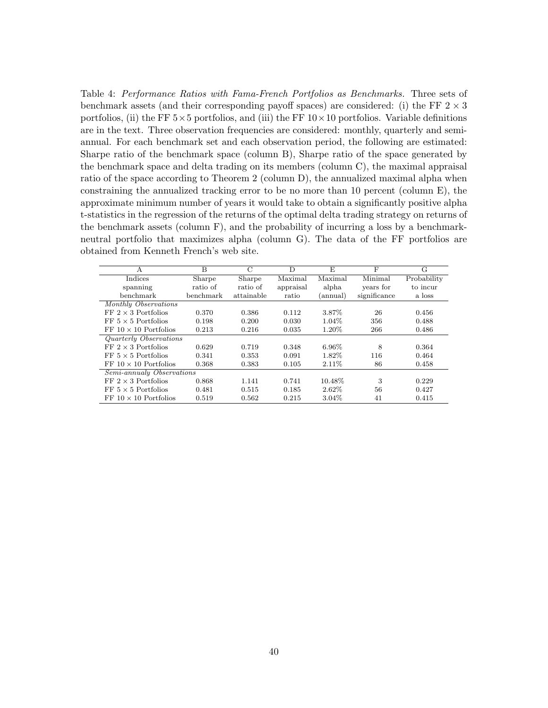Table 4: Performance Ratios with Fama-French Portfolios as Benchmarks. Three sets of benchmark assets (and their corresponding payoff spaces) are considered: (i) the FF  $2 \times 3$ portfolios, (ii) the FF  $5\times5$  portfolios, and (iii) the FF  $10\times10$  portfolios. Variable definitions are in the text. Three observation frequencies are considered: monthly, quarterly and semiannual. For each benchmark set and each observation period, the following are estimated: Sharpe ratio of the benchmark space (column B), Sharpe ratio of the space generated by the benchmark space and delta trading on its members (column C), the maximal appraisal ratio of the space according to Theorem 2 (column D), the annualized maximal alpha when constraining the annualized tracking error to be no more than 10 percent (column E), the approximate minimum number of years it would take to obtain a significantly positive alpha t-statistics in the regression of the returns of the optimal delta trading strategy on returns of the benchmark assets (column F), and the probability of incurring a loss by a benchmarkneutral portfolio that maximizes alpha (column G). The data of the FF portfolios are obtained from Kenneth French's web site.

| A                            | B         | $\mathcal{C}$ | D         | E        | F            | G           |
|------------------------------|-----------|---------------|-----------|----------|--------------|-------------|
| Indices                      | Sharpe    | Sharpe        | Maximal   | Maximal  | Minimal      | Probability |
| spanning                     | ratio of  | ratio of      | appraisal | alpha    | years for    | to incur    |
| benchmark                    | benchmark | attainable    | ratio     | (annual) | significance | a loss      |
| Monthly Observations         |           |               |           |          |              |             |
| $FF 2 \times 3$ Portfolios   | 0.370     | 0.386         | 0.112     | 3.87%    | 26           | 0.456       |
| $FF 5 \times 5$ Portfolios   | 0.198     | 0.200         | 0.030     | 1.04%    | 356          | 0.488       |
| $FF 10 \times 10$ Portfolios | 0.213     | 0.216         | 0.035     | 1.20%    | 266          | 0.486       |
| Quarterly Observations       |           |               |           |          |              |             |
| $FF 2 \times 3$ Portfolios   | 0.629     | 0.719         | 0.348     | $6.96\%$ | 8            | 0.364       |
| $FF 5 \times 5$ Portfolios   | 0.341     | 0.353         | 0.091     | 1.82%    | 116          | 0.464       |
| $FF 10 \times 10$ Portfolios | 0.368     | 0.383         | 0.105     | $2.11\%$ | 86           | 0.458       |
| Semi-annualy Observations    |           |               |           |          |              |             |
| $FF 2 \times 3$ Portfolios   | 0.868     | 1.141         | 0.741     | 10.48\%  | 3            | 0.229       |
| $FF 5 \times 5$ Portfolios   | 0.481     | 0.515         | 0.185     | $2.62\%$ | 56           | 0.427       |
| $FF 10 \times 10$ Portfolios | 0.519     | 0.562         | 0.215     | 3.04%    | 41           | 0.415       |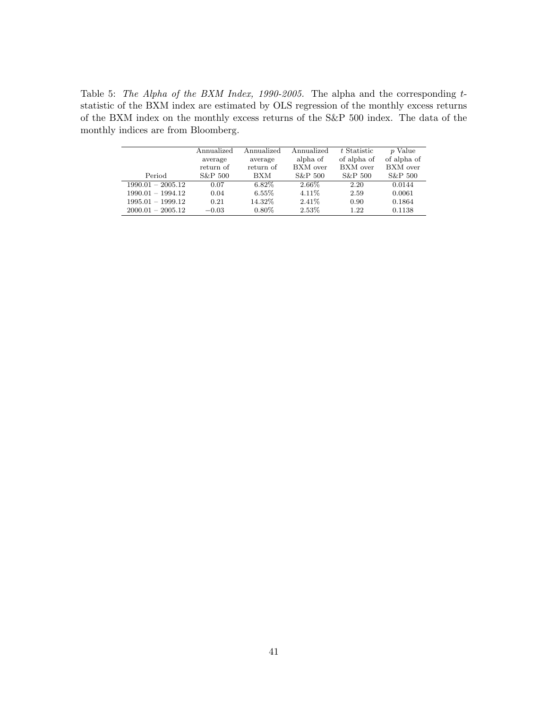Table 5: The Alpha of the BXM Index, 1990-2005. The alpha and the corresponding tstatistic of the BXM index are estimated by OLS regression of the monthly excess returns of the BXM index on the monthly excess returns of the S&P 500 index. The data of the monthly indices are from Bloomberg.

|                     | Annualized | Annualized | Annualized | t Statistic | p Value     |
|---------------------|------------|------------|------------|-------------|-------------|
|                     | average    | average    | alpha of   | of alpha of | of alpha of |
|                     | return of  | return of  | BXM over   | BXM over    | BXM over    |
| Period              | S&P 500    | <b>BXM</b> | S&P 500    | S&P 500     | S&P 500     |
| $1990.01 - 2005.12$ | 0.07       | 6.82\%     | $2.66\%$   | 2.20        | 0.0144      |
| $1990.01 - 1994.12$ | 0.04       | $6.55\%$   | 4.11\%     | 2.59        | 0.0061      |
| $1995.01 - 1999.12$ | 0.21       | 14.32\%    | 2.41%      | 0.90        | 0.1864      |
| $2000.01 - 2005.12$ | $-0.03$    | $0.80\%$   | 2.53%      | 1.22        | 0.1138      |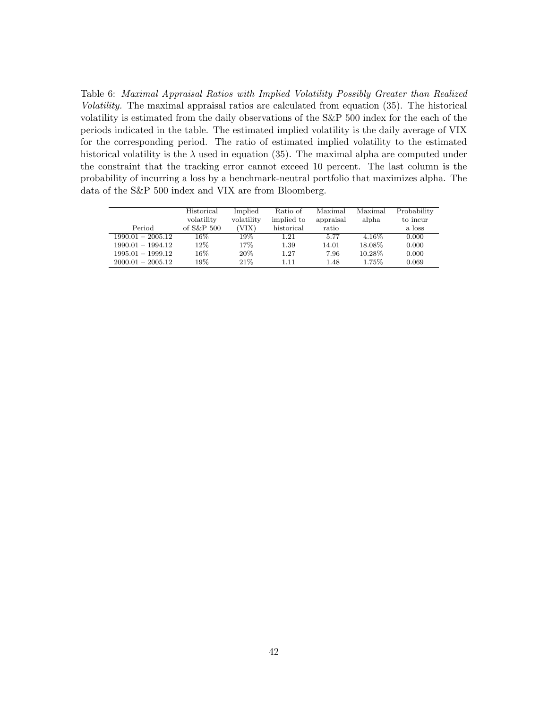Table 6: Maximal Appraisal Ratios with Implied Volatility Possibly Greater than Realized Volatility. The maximal appraisal ratios are calculated from equation (35). The historical volatility is estimated from the daily observations of the S&P 500 index for the each of the periods indicated in the table. The estimated implied volatility is the daily average of VIX for the corresponding period. The ratio of estimated implied volatility to the estimated historical volatility is the  $\lambda$  used in equation (35). The maximal alpha are computed under the constraint that the tracking error cannot exceed 10 percent. The last column is the probability of incurring a loss by a benchmark-neutral portfolio that maximizes alpha. The data of the S&P 500 index and VIX are from Bloomberg.

|                     | Historical    | Implied    | Ratio of   | Maximal   | Maximal  | Probability |
|---------------------|---------------|------------|------------|-----------|----------|-------------|
|                     | volatility    | volatility | implied to | appraisal | alpha    | to incur    |
| Period              | of $S\&P 500$ | 'VIX)      | historical | ratio     |          | a loss      |
| $1990.01 - 2005.12$ | $16\%$ .      | 19%        | 1.21       | 5.77      | $4.16\%$ | 0.000       |
| $1990.01 - 1994.12$ | $12\%$        | 17%        | 1.39       | 14.01     | 18.08%   | 0.000       |
| $1995.01 - 1999.12$ | $16\%$        | $20\%$     | 1.27       | 7.96      | 10.28\%  | 0.000       |
| $2000.01 - 2005.12$ | $19\%$        | 21\%       | 1.11       | 1.48      | 1.75%    | 0.069       |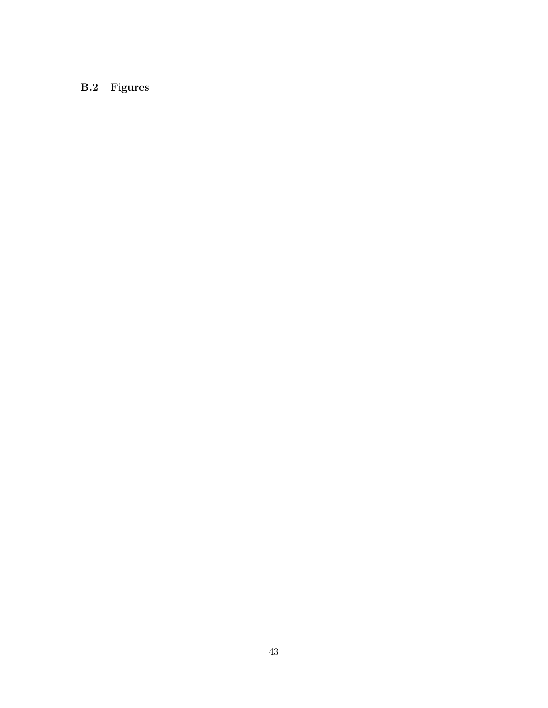# B.2 Figures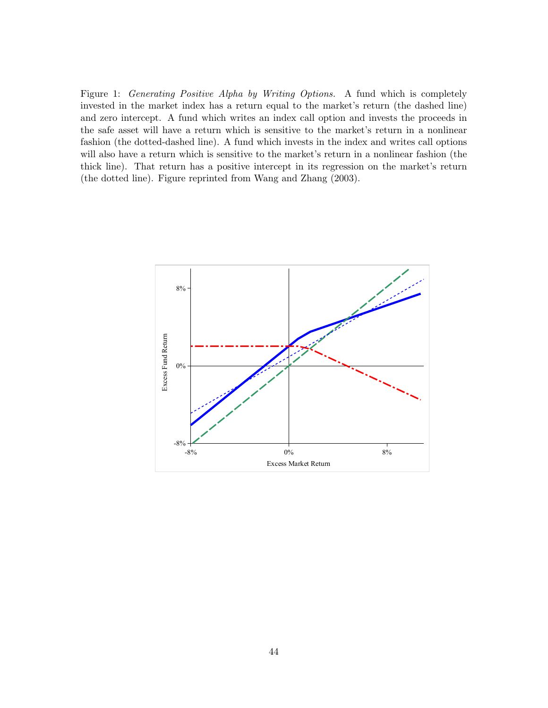Figure 1: *Generating Positive Alpha by Writing Options*. A fund which is completely invested in the market index has a return equal to the market's return (the dashed line) and zero intercept. A fund which writes an index call option and invests the proceeds in the safe asset will have a return which is sensitive to the market's return in a nonlinear fashion (the dotted-dashed line). A fund which invests in the index and writes call options will also have a return which is sensitive to the market's return in a nonlinear fashion (the thick line). That return has a positive intercept in its regression on the market's return (the dotted line). Figure reprinted from Wang and Zhang (2003).

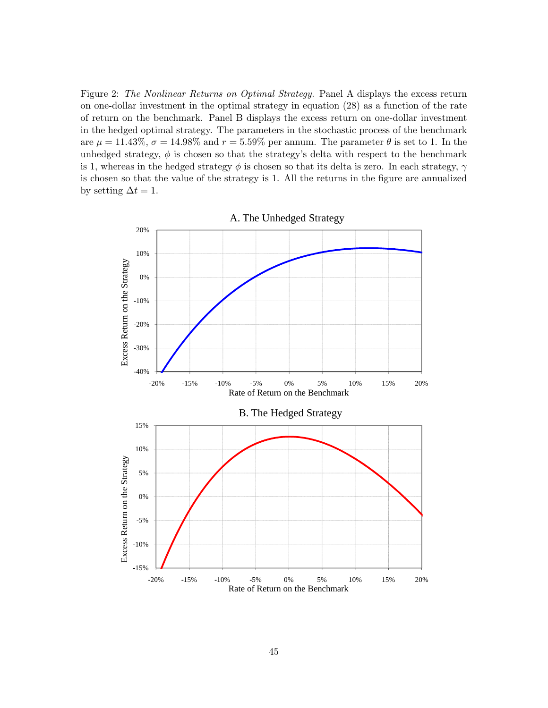Figure 2: The Nonlinear Returns on Optimal Strategy. Panel A displays the excess return on one-dollar investment in the optimal strategy in equation (28) as a function of the rate of return on the benchmark. Panel B displays the excess return on one-dollar investment in the hedged optimal strategy. The parameters in the stochastic process of the benchmark are  $\mu = 11.43\%, \sigma = 14.98\%$  and  $r = 5.59\%$  per annum. The parameter  $\theta$  is set to 1. In the unhedged strategy,  $\phi$  is chosen so that the strategy's delta with respect to the benchmark is 1, whereas in the hedged strategy  $\phi$  is chosen so that its delta is zero. In each strategy,  $\gamma$ is chosen so that the value of the strategy is 1. All the returns in the figure are annualized by setting  $\Delta t = 1$ .

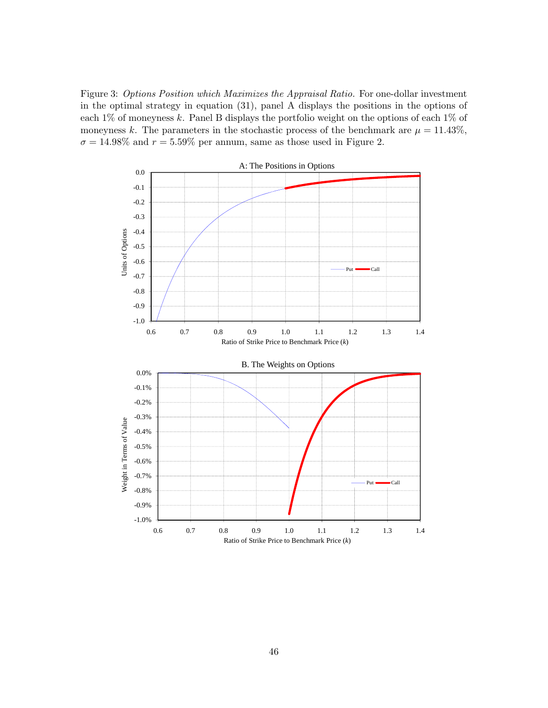Figure 3: Options Position which Maximizes the Appraisal Ratio. For one-dollar investment in the optimal strategy in equation (31), panel A displays the positions in the options of each  $1\%$  of moneyness k. Panel B displays the portfolio weight on the options of each  $1\%$  of moneyness k. The parameters in the stochastic process of the benchmark are  $\mu = 11.43\%,$  $\sigma = 14.98\%$  and  $r = 5.59\%$  per annum, same as those used in Figure 2.

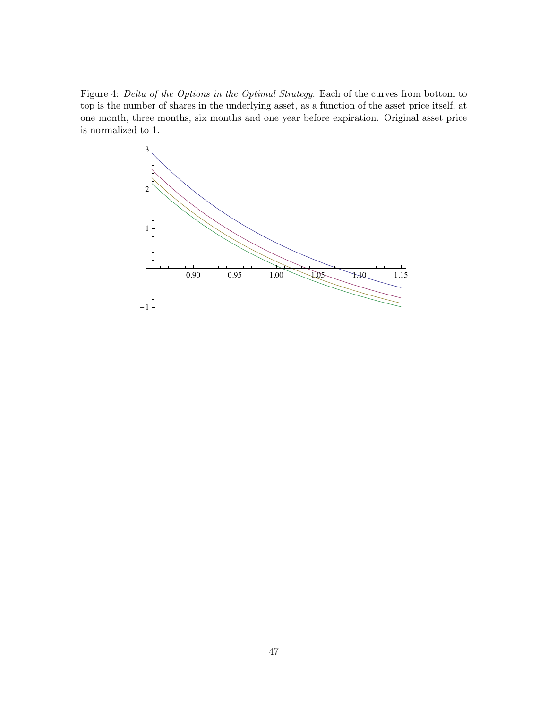Figure 4: Delta of the Options in the Optimal Strategy. Each of the curves from bottom to top is the number of shares in the underlying asset, as a function of the asset price itself, at one month, three months, six months and one year before expiration. Original asset price is normalized to 1.

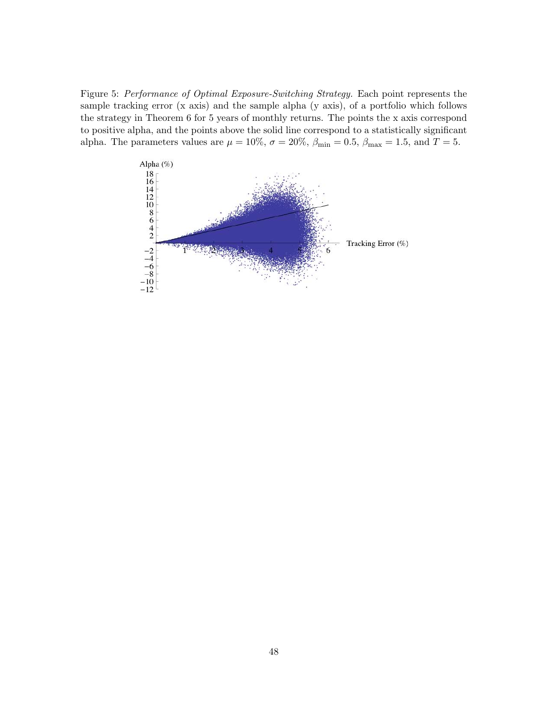Figure 5: Performance of Optimal Exposure-Switching Strategy. Each point represents the sample tracking error (x axis) and the sample alpha (y axis), of a portfolio which follows the strategy in Theorem 6 for 5 years of monthly returns. The points the x axis correspond to positive alpha, and the points above the solid line correspond to a statistically significant alpha. The parameters values are  $\mu = 10\%$ ,  $\sigma = 20\%$ ,  $\beta_{\min} = 0.5$ ,  $\beta_{\max} = 1.5$ , and  $T = 5$ .